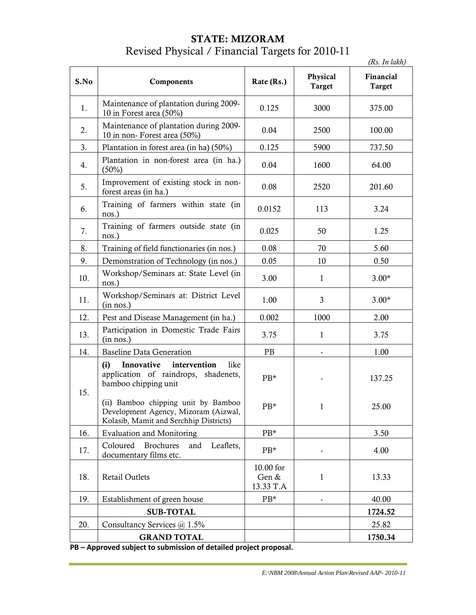### **STATE: MIZORAM** Revised Physical / Financial Targets for 2010-11

|      |                                                                                                                       |                                 |                           | (Rs. In lakh)              |
|------|-----------------------------------------------------------------------------------------------------------------------|---------------------------------|---------------------------|----------------------------|
| S.No | Components                                                                                                            | Rate (Rs.)                      | Physical<br><b>Target</b> | Financial<br><b>Target</b> |
| 1.   | Maintenance of plantation during 2009-<br>10 in Forest area (50%)                                                     | 0.125                           | 3000                      | 375.00                     |
| 2.   | Maintenance of plantation during 2009-<br>10 in non-Forest area (50%)                                                 | 0.04                            | 2500                      | 100.00                     |
| 3.   | Plantation in forest area (in ha) (50%)                                                                               | 0.125                           | 5900                      | 737.50                     |
| 4.   | Plantation in non-forest area (in ha.)<br>$(50\%)$                                                                    | 0.04                            | 1600                      | 64.00                      |
| 5.   | Improvement of existing stock in non-<br>forest areas (in ha.)                                                        | 0.08                            | 2520                      | 201.60                     |
| 6.   | Training of farmers within state (in<br>nos.)                                                                         | 0.0152                          | 113                       | 3.24                       |
| 7.   | Training of farmers outside state (in<br>nos.)                                                                        | 0.025                           | 50                        | 1.25                       |
| 8.   | Training of field functionaries (in nos.)                                                                             | 0.08                            | 70                        | 5.60                       |
| 9.   | Demonstration of Technology (in nos.)                                                                                 | 0.05                            | 10                        | 0.50                       |
| 10.  | Workshop/Seminars at: State Level (in<br>nos.)                                                                        | 3.00                            | $\mathbf{1}$              | $3.00*$                    |
| 11.  | Workshop/Seminars at: District Level<br>(in nos.)                                                                     | 1.00                            | 3                         | $3.00*$                    |
| 12.  | Pest and Disease Management (in ha.)                                                                                  | 0.002                           | 1000                      | 2.00                       |
| 13.  | Participation in Domestic Trade Fairs<br>(in nos.)                                                                    | 3.75                            | $\mathbf{1}$              | 3.75                       |
| 14.  | <b>Baseline Data Generation</b>                                                                                       | PB                              |                           | 1.00                       |
| 15.  | Innovative<br>intervention<br>like<br>(i)<br>application of raindrops, shadenets,<br>bamboo chipping unit             | $PB*$                           |                           | 137.25                     |
|      | (ii) Bamboo chipping unit by Bamboo<br>Development Agency, Mizoram (Aizwal,<br>Kolasib, Mamit and Serchhip Districts) | $PB*$                           | $\mathbf{I}$              | 25.00                      |
| 16.  | <b>Evaluation and Monitoring</b>                                                                                      | PB*                             |                           | 3.50                       |
| 17.  | Coloured<br><b>Brochures</b><br>Leaflets,<br>and<br>documentary films etc.                                            | PB*                             |                           | 4.00                       |
| 18.  | Retail Outlets                                                                                                        | 10.00 for<br>Gen &<br>13.33 T.A | 1                         | 13.33                      |
| 19.  | Establishment of green house                                                                                          | PB*                             |                           | 40.00                      |
|      | <b>SUB-TOTAL</b>                                                                                                      |                                 |                           | 1724.52                    |
| 20.  | Consultancy Services @ 1.5%                                                                                           |                                 |                           | 25.82                      |
|      | <b>GRAND TOTAL</b>                                                                                                    |                                 |                           | 1750.34                    |

**PB – Approved subject to submission of detailed project proposal.**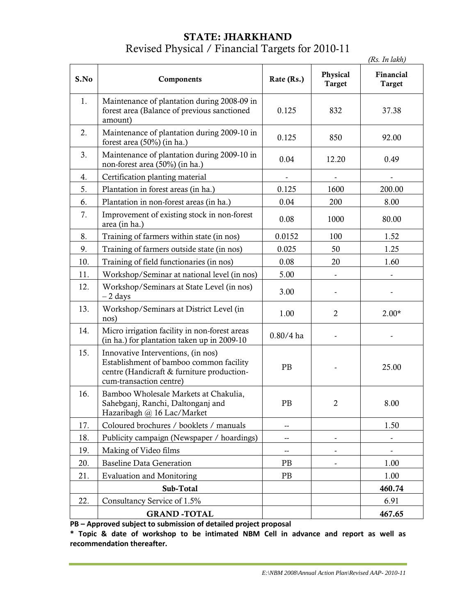### **STATE: JHARKHAND** Revised Physical / Financial Targets for 2010-11

|      |                                                                                                                                                        |                          |                           | (Rs. In lakh)       |
|------|--------------------------------------------------------------------------------------------------------------------------------------------------------|--------------------------|---------------------------|---------------------|
| S.No | Components                                                                                                                                             | Rate (Rs.)               | Physical<br><b>Target</b> | Financial<br>Target |
| 1.   | Maintenance of plantation during 2008-09 in<br>forest area (Balance of previous sanctioned<br>amount)                                                  | 0.125                    | 832                       | 37.38               |
| 2.   | Maintenance of plantation during 2009-10 in<br>forest area (50%) (in ha.)                                                                              | 0.125                    | 850                       | 92.00               |
| 3.   | Maintenance of plantation during 2009-10 in<br>non-forest area (50%) (in ha.)                                                                          | 0.04                     | 12.20                     | 0.49                |
| 4.   | Certification planting material                                                                                                                        |                          |                           |                     |
| 5.   | Plantation in forest areas (in ha.)                                                                                                                    | 0.125                    | 1600                      | 200.00              |
| 6.   | Plantation in non-forest areas (in ha.)                                                                                                                | 0.04                     | 200                       | 8.00                |
| 7.   | Improvement of existing stock in non-forest<br>area (in ha.)                                                                                           | 0.08                     | 1000                      | 80.00               |
| 8.   | Training of farmers within state (in nos)                                                                                                              | 0.0152                   | 100                       | 1.52                |
| 9.   | Training of farmers outside state (in nos)                                                                                                             | 0.025                    | 50                        | 1.25                |
| 10.  | Training of field functionaries (in nos)                                                                                                               | 0.08                     | 20                        | 1.60                |
| 11.  | Workshop/Seminar at national level (in nos)                                                                                                            | 5.00                     |                           |                     |
| 12.  | Workshop/Seminars at State Level (in nos)<br>$-2$ days                                                                                                 | 3.00                     |                           |                     |
| 13.  | Workshop/Seminars at District Level (in<br>nos)                                                                                                        | 1.00                     | $\overline{2}$            | $2.00*$             |
| 14.  | Micro irrigation facility in non-forest areas<br>(in ha.) for plantation taken up in 2009-10                                                           | $0.80/4$ ha              |                           |                     |
| 15.  | Innovative Interventions, (in nos)<br>Establishment of bamboo common facility<br>centre (Handicraft & furniture production-<br>cum-transaction centre) | PB                       |                           | 25.00               |
| 16.  | Bamboo Wholesale Markets at Chakulia,<br>Sahebganj, Ranchi, Daltonganj and<br>Hazaribagh @ 16 Lac/Market                                               | PB                       | 2                         | 8.00                |
| 17.  | Coloured brochures / booklets / manuals                                                                                                                | --                       |                           | 1.50                |
| 18.  | Publicity campaign (Newspaper / hoardings)                                                                                                             | $\overline{\phantom{a}}$ |                           |                     |
| 19.  | Making of Video films                                                                                                                                  | --                       |                           |                     |
| 20.  | <b>Baseline Data Generation</b>                                                                                                                        | PB                       |                           | 1.00                |
| 21.  | <b>Evaluation and Monitoring</b>                                                                                                                       | PB                       |                           | 1.00                |
|      | Sub-Total                                                                                                                                              |                          |                           | 460.74              |
| 22.  | Consultancy Service of 1.5%                                                                                                                            |                          |                           | 6.91                |
|      | <b>GRAND-TOTAL</b>                                                                                                                                     |                          |                           | 467.65              |

**PB – Approved subject to submission of detailed project proposal**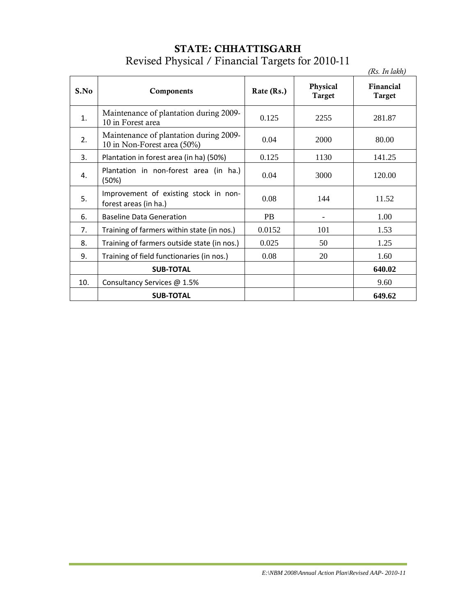| <b>STATE: CHHATTISGARH</b>                       |  |
|--------------------------------------------------|--|
| Revised Physical / Financial Targets for 2010-11 |  |

|      |                                                                       |            |                           | (Rs. In lakh)       |
|------|-----------------------------------------------------------------------|------------|---------------------------|---------------------|
| S.No | Components                                                            | Rate (Rs.) | Physical<br><b>Target</b> | Financial<br>Target |
| 1.   | Maintenance of plantation during 2009-<br>10 in Forest area           | 0.125      | 2255                      | 281.87              |
| 2.   | Maintenance of plantation during 2009-<br>10 in Non-Forest area (50%) | 0.04       | 2000                      | 80.00               |
| 3.   | Plantation in forest area (in ha) (50%)                               | 0.125      | 1130                      | 141.25              |
| 4.   | Plantation in non-forest area (in ha.)<br>(50%)                       | 0.04       | 3000                      | 120.00              |
| 5.   | Improvement of existing stock in non-<br>forest areas (in ha.)        | 0.08       | 144                       | 11.52               |
| 6.   | <b>Baseline Data Generation</b>                                       | <b>PB</b>  |                           | 1.00                |
| 7.   | Training of farmers within state (in nos.)                            | 0.0152     | 101                       | 1.53                |
| 8.   | Training of farmers outside state (in nos.)                           | 0.025      | 50                        | 1.25                |
| 9.   | Training of field functionaries (in nos.)                             | 0.08       | 20                        | 1.60                |
|      | <b>SUB-TOTAL</b>                                                      |            |                           | 640.02              |
| 10.  | Consultancy Services @ 1.5%                                           |            |                           | 9.60                |
|      | <b>SUB-TOTAL</b>                                                      |            |                           | 649.62              |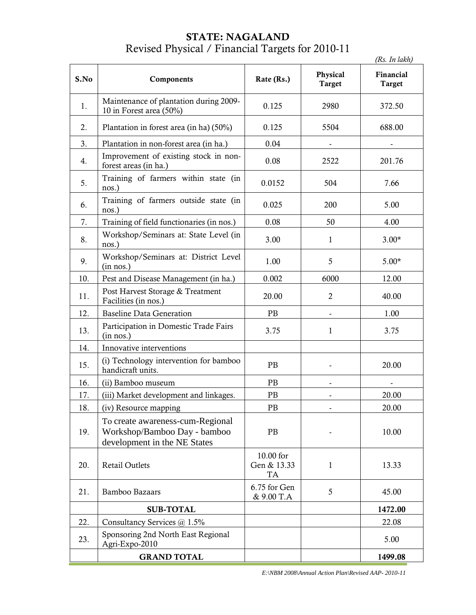# **STATE: NAGALAND** Revised Physical / Financial Targets for 2010-11

|      |                                                                                                  |                                       |                           | (Rs. In lakh)              |
|------|--------------------------------------------------------------------------------------------------|---------------------------------------|---------------------------|----------------------------|
| S.No | Components                                                                                       | Rate (Rs.)                            | Physical<br><b>Target</b> | Financial<br><b>Target</b> |
| 1.   | Maintenance of plantation during 2009-<br>10 in Forest area (50%)                                | 0.125                                 | 2980                      | 372.50                     |
| 2.   | Plantation in forest area (in ha) (50%)                                                          | 0.125                                 | 5504                      | 688.00                     |
| 3.   | Plantation in non-forest area (in ha.)                                                           | 0.04                                  |                           |                            |
| 4.   | Improvement of existing stock in non-<br>forest areas (in ha.)                                   | 0.08                                  | 2522                      | 201.76                     |
| 5.   | Training of farmers within state (in<br>nos.)                                                    | 0.0152                                | 504                       | 7.66                       |
| 6.   | Training of farmers outside state (in<br>nos.)                                                   | 0.025                                 | 200                       | 5.00                       |
| 7.   | Training of field functionaries (in nos.)                                                        | 0.08                                  | 50                        | 4.00                       |
| 8.   | Workshop/Seminars at: State Level (in<br>nos.)                                                   | 3.00                                  | $\mathbf{1}$              | $3.00*$                    |
| 9.   | Workshop/Seminars at: District Level<br>(in nos.)                                                | 1.00                                  | 5                         | $5.00*$                    |
| 10.  | Pest and Disease Management (in ha.)                                                             | 0.002                                 | 6000                      | 12.00                      |
| 11.  | Post Harvest Storage & Treatment<br>Facilities (in nos.)                                         | 20.00                                 | $\overline{2}$            | 40.00                      |
| 12.  | <b>Baseline Data Generation</b>                                                                  | PB                                    |                           | 1.00                       |
| 13.  | Participation in Domestic Trade Fairs<br>(in nos.)                                               | 3.75                                  | 1                         | 3.75                       |
| 14.  | Innovative interventions                                                                         |                                       |                           |                            |
| 15.  | (i) Technology intervention for bamboo<br>handicraft units.                                      | PB                                    |                           | 20.00                      |
| 16.  | (ii) Bamboo museum                                                                               | PB                                    |                           |                            |
| 17.  | (iii) Market development and linkages.                                                           | PB                                    |                           | 20.00                      |
| 18.  | (iv) Resource mapping                                                                            | PB                                    |                           | 20.00                      |
| 19.  | To create awareness-cum-Regional<br>Workshop/Bamboo Day - bamboo<br>development in the NE States | PB                                    |                           | 10.00                      |
| 20.  | <b>Retail Outlets</b>                                                                            | 10.00 for<br>Gen & 13.33<br><b>TA</b> | 1                         | 13.33                      |
| 21.  | <b>Bamboo Bazaars</b>                                                                            | 6.75 for Gen<br>& 9.00 T.A            | 5                         | 45.00                      |
|      | <b>SUB-TOTAL</b>                                                                                 |                                       |                           | 1472.00                    |
| 22.  | Consultancy Services @ 1.5%                                                                      |                                       |                           | 22.08                      |
| 23.  | Sponsoring 2nd North East Regional<br>Agri-Expo-2010                                             |                                       |                           | 5.00                       |
|      | <b>GRAND TOTAL</b>                                                                               |                                       |                           | 1499.08                    |

*E:\NBM 2008\Annual Action Plan\Revised AAP- 2010-11*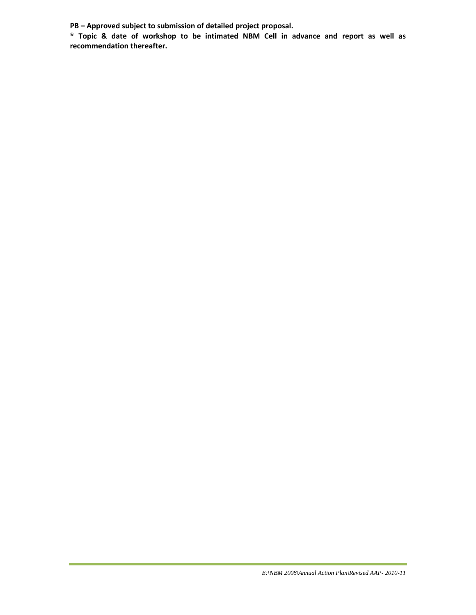**PB – Approved subject to submission of detailed project proposal.**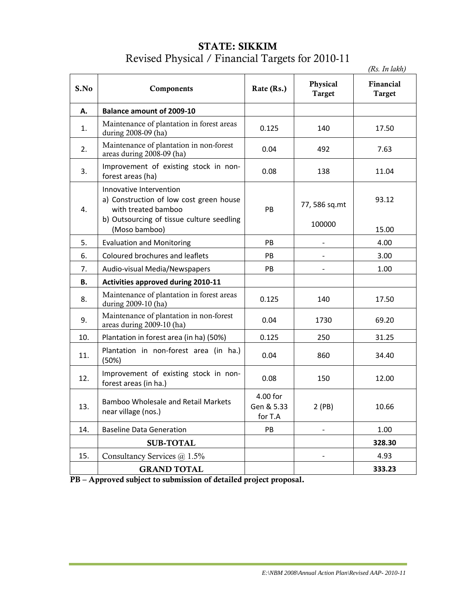### **STATE: SIKKIM** Revised Physical / Financial Targets for 2010-11

|      |                                                                                                                                        |                                   |                           | (Rs. In lakh)              |
|------|----------------------------------------------------------------------------------------------------------------------------------------|-----------------------------------|---------------------------|----------------------------|
| S.No | Components                                                                                                                             | Rate (Rs.)                        | Physical<br><b>Target</b> | Financial<br><b>Target</b> |
| А.   | <b>Balance amount of 2009-10</b>                                                                                                       |                                   |                           |                            |
| 1.   | Maintenance of plantation in forest areas<br>during 2008-09 (ha)                                                                       | 0.125                             | 140                       | 17.50                      |
| 2.   | Maintenance of plantation in non-forest<br>areas during 2008-09 (ha)                                                                   | 0.04                              | 492                       | 7.63                       |
| 3.   | Improvement of existing stock in non-<br>forest areas (ha)                                                                             | 0.08                              | 138                       | 11.04                      |
| 4.   | Innovative Intervention<br>a) Construction of low cost green house<br>with treated bamboo<br>b) Outsourcing of tissue culture seedling | PB                                | 77, 586 sq.mt<br>100000   | 93.12                      |
|      | (Moso bamboo)                                                                                                                          |                                   |                           | 15.00                      |
| 5.   | <b>Evaluation and Monitoring</b>                                                                                                       | PB                                |                           | 4.00                       |
| 6.   | Coloured brochures and leaflets                                                                                                        | PB                                |                           | 3.00                       |
| 7.   | Audio-visual Media/Newspapers                                                                                                          | PB.                               |                           | 1.00                       |
| В.   | Activities approved during 2010-11                                                                                                     |                                   |                           |                            |
| 8.   | Maintenance of plantation in forest areas<br>during 2009-10 (ha)                                                                       | 0.125                             | 140                       | 17.50                      |
| 9.   | Maintenance of plantation in non-forest<br>areas during 2009-10 (ha)                                                                   | 0.04                              | 1730                      | 69.20                      |
| 10.  | Plantation in forest area (in ha) (50%)                                                                                                | 0.125                             | 250                       | 31.25                      |
| 11.  | Plantation in non-forest area (in ha.)<br>(50%)                                                                                        | 0.04                              | 860                       | 34.40                      |
| 12.  | Improvement of existing stock in non-<br>forest areas (in ha.)                                                                         | 0.08                              | 150                       | 12.00                      |
| 13.  | <b>Bamboo Wholesale and Retail Markets</b><br>near village (nos.)                                                                      | 4.00 for<br>Gen & 5.33<br>for T.A | 2(PB)                     | 10.66                      |
| 14.  | <b>Baseline Data Generation</b>                                                                                                        | PB                                |                           | 1.00                       |
|      | <b>SUB-TOTAL</b>                                                                                                                       |                                   |                           | 328.30                     |
| 15.  | Consultancy Services @ 1.5%                                                                                                            |                                   | $\overline{\phantom{0}}$  | 4.93                       |
|      | <b>GRAND TOTAL</b>                                                                                                                     |                                   |                           | 333.23                     |
|      |                                                                                                                                        |                                   |                           |                            |

**PB – Approved subject to submission of detailed project proposal.**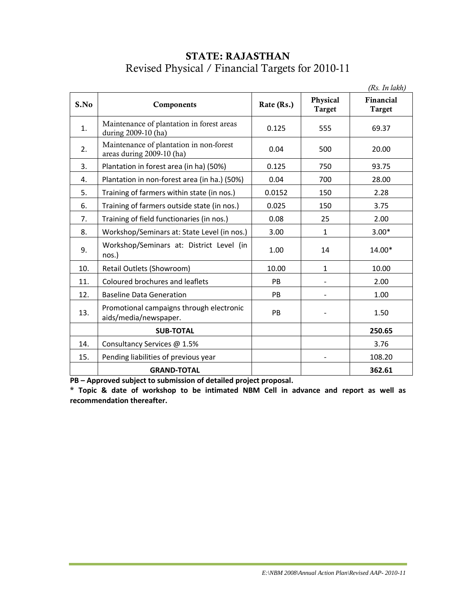### **STATE: RAJASTHAN** Revised Physical / Financial Targets for 2010-11

|      |                                                                      |            |                           | (Rs. In lakh)              |
|------|----------------------------------------------------------------------|------------|---------------------------|----------------------------|
| S.No | Components                                                           | Rate (Rs.) | Physical<br><b>Target</b> | Financial<br><b>Target</b> |
| 1.   | Maintenance of plantation in forest areas<br>during 2009-10 (ha)     | 0.125      | 555                       | 69.37                      |
| 2.   | Maintenance of plantation in non-forest<br>areas during 2009-10 (ha) | 0.04       | 500                       | 20.00                      |
| 3.   | Plantation in forest area (in ha) (50%)                              | 0.125      | 750                       | 93.75                      |
| 4.   | Plantation in non-forest area (in ha.) (50%)                         | 0.04       | 700                       | 28.00                      |
| 5.   | Training of farmers within state (in nos.)                           | 0.0152     | 150                       | 2.28                       |
| 6.   | Training of farmers outside state (in nos.)                          | 0.025      | 150                       | 3.75                       |
| 7.   | Training of field functionaries (in nos.)                            | 0.08       | 25                        | 2.00                       |
| 8.   | Workshop/Seminars at: State Level (in nos.)                          | 3.00       | $\mathbf{1}$              | $3.00*$                    |
| 9.   | Workshop/Seminars at: District Level (in<br>nos.)                    | 1.00       | 14                        | 14.00*                     |
| 10.  | Retail Outlets (Showroom)                                            | 10.00      | $\mathbf{1}$              | 10.00                      |
| 11.  | Coloured brochures and leaflets                                      | <b>PB</b>  |                           | 2.00                       |
| 12.  | <b>Baseline Data Generation</b>                                      | <b>PB</b>  |                           | 1.00                       |
| 13.  | Promotional campaigns through electronic<br>aids/media/newspaper.    | PB         |                           | 1.50                       |
|      | <b>SUB-TOTAL</b>                                                     |            |                           | 250.65                     |
| 14.  | Consultancy Services @ 1.5%                                          |            |                           | 3.76                       |
| 15.  | Pending liabilities of previous year                                 |            |                           | 108.20                     |
|      | <b>GRAND-TOTAL</b>                                                   |            |                           | 362.61                     |

**PB – Approved subject to submission of detailed project proposal.**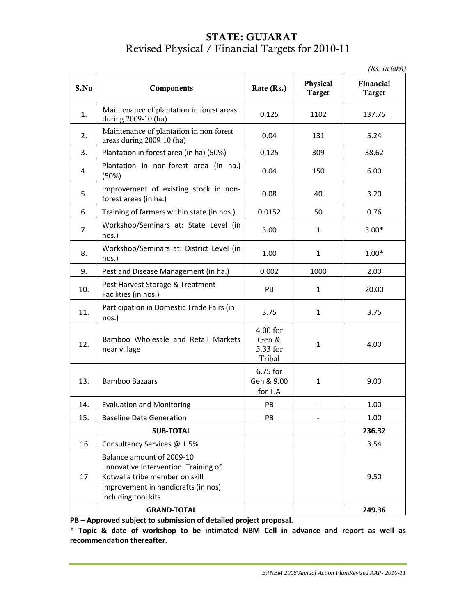### **STATE: GUJARAT** Revised Physical / Financial Targets for 2010-11

| S.No | Components                                                                                                                                                        | Rate (Rs.)                              | Physical<br><b>Target</b> | Financial<br><b>Target</b> |
|------|-------------------------------------------------------------------------------------------------------------------------------------------------------------------|-----------------------------------------|---------------------------|----------------------------|
| 1.   | Maintenance of plantation in forest areas<br>during 2009-10 (ha)                                                                                                  | 0.125                                   | 1102                      | 137.75                     |
| 2.   | Maintenance of plantation in non-forest<br>areas during 2009-10 (ha)                                                                                              | 0.04                                    | 131                       | 5.24                       |
| 3.   | Plantation in forest area (in ha) (50%)                                                                                                                           | 0.125                                   | 309                       | 38.62                      |
| 4.   | Plantation in non-forest area (in ha.)<br>(50%)                                                                                                                   | 0.04                                    | 150                       | 6.00                       |
| 5.   | Improvement of existing stock in non-<br>forest areas (in ha.)                                                                                                    | 0.08                                    | 40                        | 3.20                       |
| 6.   | Training of farmers within state (in nos.)                                                                                                                        | 0.0152                                  | 50                        | 0.76                       |
| 7.   | Workshop/Seminars at: State Level (in<br>nos.)                                                                                                                    | 3.00                                    | $\mathbf{1}$              | $3.00*$                    |
| 8.   | Workshop/Seminars at: District Level (in<br>nos.)                                                                                                                 | 1.00                                    | $\mathbf{1}$              | $1.00*$                    |
| 9.   | Pest and Disease Management (in ha.)                                                                                                                              | 0.002                                   | 1000                      | 2.00                       |
| 10.  | Post Harvest Storage & Treatment<br>Facilities (in nos.)                                                                                                          | PB                                      | $\mathbf{1}$              | 20.00                      |
| 11.  | Participation in Domestic Trade Fairs (in<br>nos.)                                                                                                                | 3.75                                    | $\mathbf{1}$              | 3.75                       |
| 12.  | Bamboo Wholesale and Retail Markets<br>near village                                                                                                               | 4.00 for<br>Gen &<br>5.33 for<br>Tribal | $\mathbf{1}$              | 4.00                       |
| 13.  | <b>Bamboo Bazaars</b>                                                                                                                                             | 6.75 for<br>Gen & 9.00<br>for T.A       | $\mathbf{1}$              | 9.00                       |
| 14.  | <b>Evaluation and Monitoring</b>                                                                                                                                  | PB                                      |                           | 1.00                       |
| 15.  | <b>Baseline Data Generation</b>                                                                                                                                   | PB                                      |                           | 1.00                       |
|      | <b>SUB-TOTAL</b>                                                                                                                                                  |                                         |                           | 236.32                     |
| 16   | Consultancy Services @ 1.5%                                                                                                                                       |                                         |                           | 3.54                       |
| 17   | Balance amount of 2009-10<br>Innovative Intervention: Training of<br>Kotwalia tribe member on skill<br>improvement in handicrafts (in nos)<br>including tool kits |                                         |                           | 9.50                       |
|      | <b>GRAND-TOTAL</b>                                                                                                                                                |                                         |                           | 249.36                     |

**PB – Approved subject to submission of detailed project proposal.**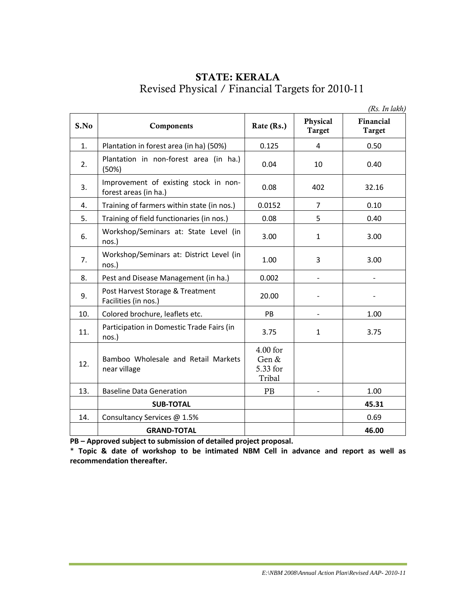### **STATE: KERALA** Revised Physical / Financial Targets for 2010-11

|      |                                                                |                                           |                           | (Rs. In lakh)       |
|------|----------------------------------------------------------------|-------------------------------------------|---------------------------|---------------------|
| S.No | Components                                                     | Rate (Rs.)                                | Physical<br><b>Target</b> | Financial<br>Target |
| 1.   | Plantation in forest area (in ha) (50%)                        | 0.125                                     | 4                         | 0.50                |
| 2.   | Plantation in non-forest area (in ha.)<br>(50%)                | 0.04                                      | 10                        | 0.40                |
| 3.   | Improvement of existing stock in non-<br>forest areas (in ha.) | 0.08                                      | 402                       | 32.16               |
| 4.   | Training of farmers within state (in nos.)                     | 0.0152                                    | 7                         | 0.10                |
| 5.   | Training of field functionaries (in nos.)                      | 0.08                                      | 5                         | 0.40                |
| 6.   | Workshop/Seminars at: State Level (in<br>nos.)                 | 3.00                                      | $\mathbf{1}$              | 3.00                |
| 7.   | Workshop/Seminars at: District Level (in<br>nos.)              | 1.00                                      | 3                         | 3.00                |
| 8.   | Pest and Disease Management (in ha.)                           | 0.002                                     |                           |                     |
| 9.   | Post Harvest Storage & Treatment<br>Facilities (in nos.)       | 20.00                                     |                           |                     |
| 10.  | Colored brochure, leaflets etc.                                | PB                                        |                           | 1.00                |
| 11.  | Participation in Domestic Trade Fairs (in<br>nos.)             | 3.75                                      | 1                         | 3.75                |
| 12.  | Bamboo Wholesale and Retail Markets<br>near village            | $4.00$ for<br>Gen &<br>5.33 for<br>Tribal |                           |                     |
| 13.  | <b>Baseline Data Generation</b>                                | PB                                        |                           | 1.00                |
|      | <b>SUB-TOTAL</b>                                               |                                           |                           | 45.31               |
| 14.  | Consultancy Services @ 1.5%                                    |                                           |                           | 0.69                |
|      | <b>GRAND-TOTAL</b>                                             |                                           |                           | 46.00               |

**PB – Approved subject to submission of detailed project proposal.**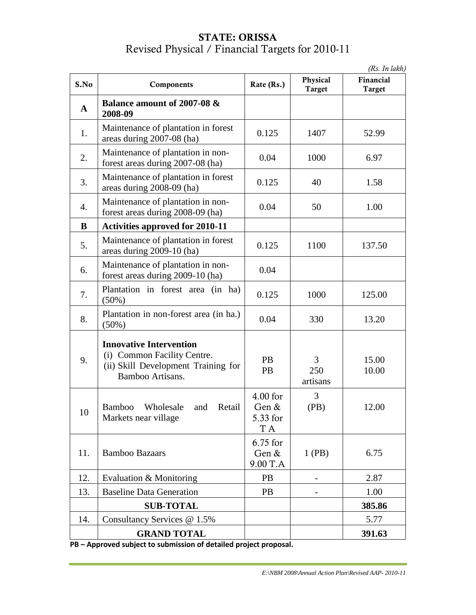### **STATE: ORISSA** Revised Physical / Financial Targets for 2010-11

|              |                                                                                                                          |                                        |                           | (Rs. In lakh)              |
|--------------|--------------------------------------------------------------------------------------------------------------------------|----------------------------------------|---------------------------|----------------------------|
| S.No         | Components                                                                                                               | Rate (Rs.)                             | Physical<br><b>Target</b> | Financial<br><b>Target</b> |
| $\mathbf{A}$ | Balance amount of 2007-08 &<br>2008-09                                                                                   |                                        |                           |                            |
| 1.           | Maintenance of plantation in forest<br>areas during 2007-08 (ha)                                                         | 0.125                                  | 1407                      | 52.99                      |
| 2.           | Maintenance of plantation in non-<br>forest areas during 2007-08 (ha)                                                    | 0.04                                   | 1000                      | 6.97                       |
| 3.           | Maintenance of plantation in forest<br>areas during 2008-09 (ha)                                                         | 0.125                                  | 40                        | 1.58                       |
| 4.           | Maintenance of plantation in non-<br>forest areas during 2008-09 (ha)                                                    | 0.04                                   | 50                        | 1.00                       |
| $\bf{B}$     | <b>Activities approved for 2010-11</b>                                                                                   |                                        |                           |                            |
| 5.           | Maintenance of plantation in forest<br>areas during 2009-10 (ha)                                                         | 0.125                                  | 1100                      | 137.50                     |
| 6.           | Maintenance of plantation in non-<br>forest areas during 2009-10 (ha)                                                    | 0.04                                   |                           |                            |
| 7.           | Plantation in forest area (in ha)<br>$(50\%)$                                                                            | 0.125                                  | 1000                      | 125.00                     |
| 8.           | Plantation in non-forest area (in ha.)<br>$(50\%)$                                                                       | 0.04                                   | 330                       | 13.20                      |
| 9.           | <b>Innovative Intervention</b><br>(i) Common Facility Centre.<br>(ii) Skill Development Training for<br>Bamboo Artisans. | <b>PB</b><br>PB                        | 3<br>250<br>artisans      | 15.00<br>10.00             |
| 10           | <b>Bamboo</b><br>Wholesale<br>Retail<br>and<br>Markets near village                                                      | $4.00$ for<br>Gen &<br>5.33 for<br>T A | 3<br>(PB)                 | 12.00                      |
| 11.          | <b>Bamboo Bazaars</b>                                                                                                    | 6.75 for<br>Gen &<br>9.00 T.A          | $1$ (PB)                  | 6.75                       |
| 12.          | Evaluation & Monitoring                                                                                                  | PB                                     |                           | 2.87                       |
| 13.          | <b>Baseline Data Generation</b>                                                                                          | PB                                     |                           | 1.00                       |
|              | <b>SUB-TOTAL</b>                                                                                                         |                                        |                           | 385.86                     |
| 14.          | Consultancy Services @ 1.5%                                                                                              |                                        |                           | 5.77                       |
|              | <b>GRAND TOTAL</b>                                                                                                       |                                        |                           | 391.63                     |

**PB – Approved subject to submission of detailed project proposal.**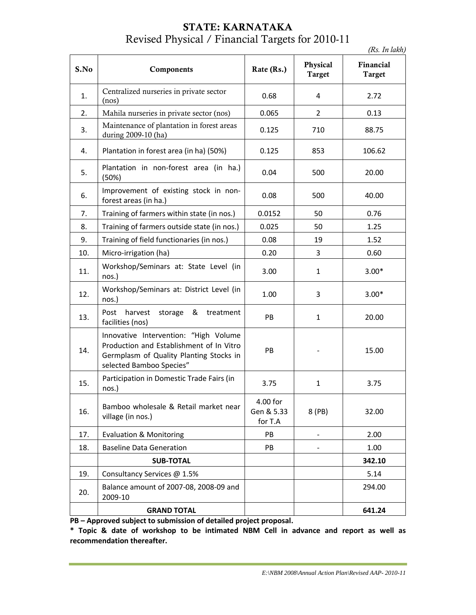### **STATE: KARNATAKA** Revised Physical / Financial Targets for 2010-11

*(Rs. In lakh)*

| S.No | Components                                                                                                                                               | Rate (Rs.)                        | Physical<br><b>Target</b> | Financial<br>Target |
|------|----------------------------------------------------------------------------------------------------------------------------------------------------------|-----------------------------------|---------------------------|---------------------|
| 1.   | Centralized nurseries in private sector<br>(nos)                                                                                                         | 0.68                              | $\overline{4}$            | 2.72                |
| 2.   | Mahila nurseries in private sector (nos)                                                                                                                 | 0.065                             | $\overline{2}$            | 0.13                |
| 3.   | Maintenance of plantation in forest areas<br>during 2009-10 (ha)                                                                                         | 0.125                             | 710                       | 88.75               |
| 4.   | Plantation in forest area (in ha) (50%)                                                                                                                  | 0.125                             | 853                       | 106.62              |
| 5.   | Plantation in non-forest area (in ha.)<br>(50%)                                                                                                          | 0.04                              | 500                       | 20.00               |
| 6.   | Improvement of existing stock in non-<br>forest areas (in ha.)                                                                                           | 0.08                              | 500                       | 40.00               |
| 7.   | Training of farmers within state (in nos.)                                                                                                               | 0.0152                            | 50                        | 0.76                |
| 8.   | Training of farmers outside state (in nos.)                                                                                                              | 0.025                             | 50                        | 1.25                |
| 9.   | Training of field functionaries (in nos.)                                                                                                                | 0.08                              | 19                        | 1.52                |
| 10.  | Micro-irrigation (ha)                                                                                                                                    | 0.20                              | 3                         | 0.60                |
| 11.  | Workshop/Seminars at: State Level (in<br>nos.)                                                                                                           | 3.00                              | $\mathbf{1}$              | $3.00*$             |
| 12.  | Workshop/Seminars at: District Level (in<br>nos.)                                                                                                        | 1.00                              | 3                         | $3.00*$             |
| 13.  | harvest storage & treatment<br>Post<br>facilities (nos)                                                                                                  | PB                                | $\mathbf{1}$              | 20.00               |
| 14.  | Innovative Intervention: "High Volume<br>Production and Establishment of In Vitro<br>Germplasm of Quality Planting Stocks in<br>selected Bamboo Species" | PB                                |                           | 15.00               |
| 15.  | Participation in Domestic Trade Fairs (in<br>nos.)                                                                                                       | 3.75                              | $\mathbf{1}$              | 3.75                |
| 16.  | Bamboo wholesale & Retail market near<br>village (in nos.)                                                                                               | 4.00 for<br>Gen & 5.33<br>for T.A | 8 (PB)                    | 32.00               |
| 17.  | <b>Evaluation &amp; Monitoring</b>                                                                                                                       | <b>PB</b>                         |                           | 2.00                |
| 18.  | <b>Baseline Data Generation</b>                                                                                                                          | PB                                |                           | 1.00                |
|      | <b>SUB-TOTAL</b>                                                                                                                                         |                                   |                           | 342.10              |
| 19.  | Consultancy Services @ 1.5%                                                                                                                              |                                   |                           | 5.14                |
| 20.  | Balance amount of 2007-08, 2008-09 and<br>2009-10                                                                                                        |                                   |                           | 294.00              |
|      | <b>GRAND TOTAL</b>                                                                                                                                       |                                   |                           | 641.24              |

**PB – Approved subject to submission of detailed project proposal.**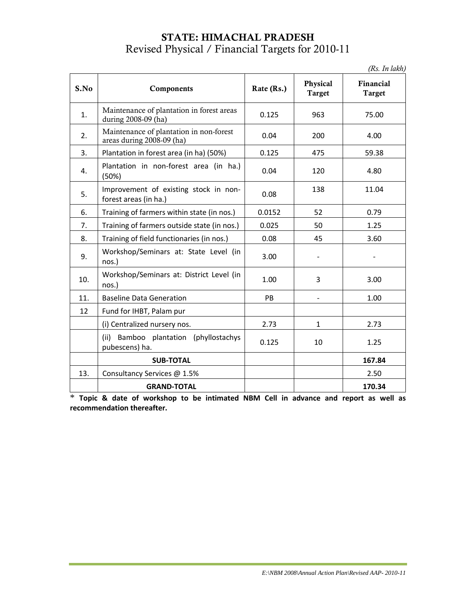### **STATE: HIMACHAL PRADESH** Revised Physical / Financial Targets for 2010-11

| (Rs. In lakh) |
|---------------|
|---------------|

|      |                                                                      |            |                           | $(1\omega, 1\mu \mu\omega)$ |
|------|----------------------------------------------------------------------|------------|---------------------------|-----------------------------|
| S.No | Components                                                           | Rate (Rs.) | Physical<br><b>Target</b> | Financial<br><b>Target</b>  |
| 1.   | Maintenance of plantation in forest areas<br>during 2008-09 (ha)     | 0.125      | 963                       | 75.00                       |
| 2.   | Maintenance of plantation in non-forest<br>areas during 2008-09 (ha) | 0.04       | 200                       | 4.00                        |
| 3.   | Plantation in forest area (in ha) (50%)                              | 0.125      | 475                       | 59.38                       |
| 4.   | Plantation in non-forest area (in ha.)<br>(50%)                      | 0.04       | 120                       | 4.80                        |
| 5.   | Improvement of existing stock in non-<br>forest areas (in ha.)       | 0.08       | 138                       | 11.04                       |
| 6.   | Training of farmers within state (in nos.)                           | 0.0152     | 52                        | 0.79                        |
| 7.   | Training of farmers outside state (in nos.)                          | 0.025      | 50                        | 1.25                        |
| 8.   | Training of field functionaries (in nos.)                            | 0.08       | 45                        | 3.60                        |
| 9.   | Workshop/Seminars at: State Level (in<br>nos.)                       | 3.00       |                           |                             |
| 10.  | Workshop/Seminars at: District Level (in<br>nos.)                    | 1.00       | 3                         | 3.00                        |
| 11.  | <b>Baseline Data Generation</b>                                      | PB         |                           | 1.00                        |
| 12   | Fund for IHBT, Palam pur                                             |            |                           |                             |
|      | (i) Centralized nursery nos.                                         | 2.73       | $\mathbf{1}$              | 2.73                        |
|      | Bamboo plantation (phyllostachys<br>(ii)<br>pubescens) ha.           | 0.125      | 10                        | 1.25                        |
|      | <b>SUB-TOTAL</b>                                                     |            |                           | 167.84                      |
| 13.  | Consultancy Services @ 1.5%                                          |            |                           | 2.50                        |
|      | <b>GRAND-TOTAL</b>                                                   |            |                           | 170.34                      |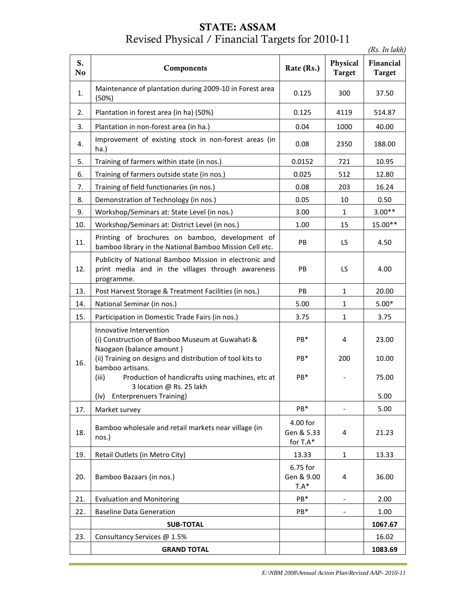# **STATE: ASSAM** Revised Physical / Financial Targets for 2010-11

*(Rs. In lakh)*

| S.<br>No | Components                                                                                                                                                          | Rate (Rs.)                         | Physical<br><b>Target</b> | Financial<br><b>Target</b> |
|----------|---------------------------------------------------------------------------------------------------------------------------------------------------------------------|------------------------------------|---------------------------|----------------------------|
| 1.       | Maintenance of plantation during 2009-10 in Forest area<br>(50%)                                                                                                    | 0.125                              | 300                       | 37.50                      |
| 2.       | Plantation in forest area (in ha) (50%)                                                                                                                             | 0.125                              | 4119                      | 514.87                     |
| 3.       | Plantation in non-forest area (in ha.)                                                                                                                              | 0.04                               | 1000                      | 40.00                      |
| 4.       | Improvement of existing stock in non-forest areas (in<br>ha.)                                                                                                       | 0.08                               | 2350                      | 188.00                     |
| 5.       | Training of farmers within state (in nos.)                                                                                                                          | 0.0152                             | 721                       | 10.95                      |
| 6.       | Training of farmers outside state (in nos.)                                                                                                                         | 0.025                              | 512                       | 12.80                      |
| 7.       | Training of field functionaries (in nos.)                                                                                                                           | 0.08                               | 203                       | 16.24                      |
| 8.       | Demonstration of Technology (in nos.)                                                                                                                               | 0.05                               | 10                        | 0.50                       |
| 9.       | Workshop/Seminars at: State Level (in nos.)                                                                                                                         | 3.00                               | $\mathbf{1}$              | $3.00**$                   |
| 10.      | Workshop/Seminars at: District Level (in nos.)                                                                                                                      | 1.00                               | 15                        | 15.00**                    |
| 11.      | Printing of brochures on bamboo, development of<br>bamboo library in the National Bamboo Mission Cell etc.                                                          | PB                                 | LS.                       | 4.50                       |
| 12.      | Publicity of National Bamboo Mission in electronic and<br>print media and in the villages through awareness<br>programme.                                           | PB                                 | LS.                       | 4.00                       |
| 13.      | Post Harvest Storage & Treatment Facilities (in nos.)                                                                                                               | PB.                                | $\mathbf{1}$              | 20.00                      |
| 14.      | National Seminar (in nos.)                                                                                                                                          | 5.00                               | $\mathbf{1}$              | $5.00*$                    |
| 15.      | Participation in Domestic Trade Fairs (in nos.)                                                                                                                     | 3.75                               | $\mathbf{1}$              | 3.75                       |
|          | Innovative Intervention<br>(i) Construction of Bamboo Museum at Guwahati &<br>Naogaon (balance amount)<br>(ii) Training on designs and distribution of tool kits to | PB*<br>PB*                         | 4<br>200                  | 23.00<br>10.00             |
| 16.      | bamboo artisans.<br>Production of handicrafts using machines, etc at<br>(iii)<br>3 location @ Rs. 25 lakh                                                           | PB*                                |                           | 75.00                      |
|          | (iv)<br><b>Enterprenuers Training)</b>                                                                                                                              |                                    |                           | 5.00                       |
| 17.      | Market survey                                                                                                                                                       | $PB*$                              | $\overline{\phantom{0}}$  | 5.00                       |
| 18.      | Bamboo wholesale and retail markets near village (in<br>nos.)                                                                                                       | 4.00 for<br>Gen & 5.33<br>for T.A* | 4                         | 21.23                      |
| 19.      | Retail Outlets (in Metro City)                                                                                                                                      | 13.33                              | $\mathbf{1}$              | 13.33                      |
| 20.      | Bamboo Bazaars (in nos.)                                                                                                                                            | 6.75 for<br>Gen & 9.00<br>$T.A*$   | 4                         | 36.00                      |
| 21.      | <b>Evaluation and Monitoring</b>                                                                                                                                    | PB*                                |                           | 2.00                       |
| 22.      | <b>Baseline Data Generation</b>                                                                                                                                     | PB*                                |                           | 1.00                       |
|          | <b>SUB-TOTAL</b>                                                                                                                                                    |                                    |                           | 1067.67                    |
| 23.      | Consultancy Services @ 1.5%                                                                                                                                         |                                    |                           | 16.02                      |
|          | <b>GRAND TOTAL</b>                                                                                                                                                  |                                    |                           | 1083.69                    |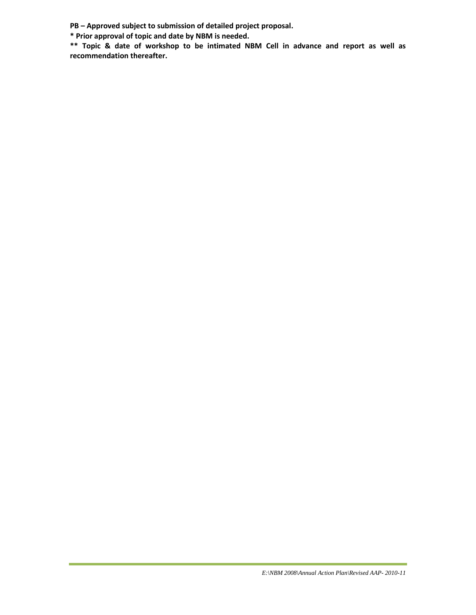**PB – Approved subject to submission of detailed project proposal.**

**\* Prior approval of topic and date by NBM is needed.**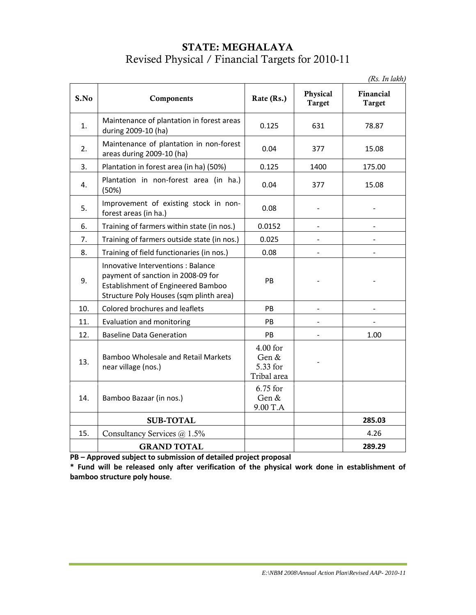### **STATE: MEGHALAYA** Revised Physical / Financial Targets for 2010-11

*(Rs. In lakh)*

| S.No | Components                                                                                                                                                       | Rate (Rs.)                                   | Physical<br><b>Target</b> | Financial<br><b>Target</b> |
|------|------------------------------------------------------------------------------------------------------------------------------------------------------------------|----------------------------------------------|---------------------------|----------------------------|
| 1.   | Maintenance of plantation in forest areas<br>during 2009-10 (ha)                                                                                                 | 0.125                                        | 631                       | 78.87                      |
| 2.   | Maintenance of plantation in non-forest<br>areas during 2009-10 (ha)                                                                                             | 0.04                                         | 377                       | 15.08                      |
| 3.   | Plantation in forest area (in ha) (50%)                                                                                                                          | 0.125                                        | 1400                      | 175.00                     |
| 4.   | Plantation in non-forest area (in ha.)<br>(50%)                                                                                                                  | 0.04                                         | 377                       | 15.08                      |
| 5.   | Improvement of existing stock in non-<br>forest areas (in ha.)                                                                                                   | 0.08                                         |                           |                            |
| 6.   | Training of farmers within state (in nos.)                                                                                                                       | 0.0152                                       |                           |                            |
| 7.   | Training of farmers outside state (in nos.)                                                                                                                      | 0.025                                        |                           |                            |
| 8.   | Training of field functionaries (in nos.)                                                                                                                        | 0.08                                         | $\blacksquare$            |                            |
| 9.   | Innovative Interventions : Balance<br>payment of sanction in 2008-09 for<br><b>Establishment of Engineered Bamboo</b><br>Structure Poly Houses (sqm plinth area) | PB                                           |                           |                            |
| 10.  | Colored brochures and leaflets                                                                                                                                   | PB                                           |                           |                            |
| 11.  | Evaluation and monitoring                                                                                                                                        | PB                                           | $\blacksquare$            |                            |
| 12.  | <b>Baseline Data Generation</b>                                                                                                                                  | PB                                           |                           | 1.00                       |
| 13.  | <b>Bamboo Wholesale and Retail Markets</b><br>near village (nos.)                                                                                                | 4.00 for<br>Gen &<br>5.33 for<br>Tribal area |                           |                            |
| 14.  | Bamboo Bazaar (in nos.)                                                                                                                                          | 6.75 for<br>Gen &<br>9.00 T.A                |                           |                            |
|      | <b>SUB-TOTAL</b>                                                                                                                                                 |                                              |                           | 285.03                     |
| 15.  | Consultancy Services @ 1.5%                                                                                                                                      |                                              |                           | 4.26                       |
|      | <b>GRAND TOTAL</b>                                                                                                                                               |                                              |                           | 289.29                     |

**PB – Approved subject to submission of detailed project proposal**

**\* Fund will be released only after verification of the physical work done in establishment of bamboo structure poly house**.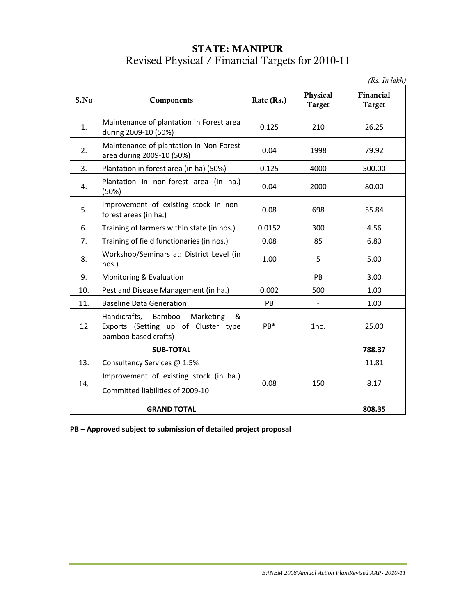#### **STATE: MANIPUR** Revised Physical / Financial Targets for 2010-11

*(Rs. In lakh)*

|      |                                                                                                   |            |                           | $\left( 2.00, 2.00, 0.000, 0.000, 0.000, 0.000, 0.000, 0.000, 0.000, 0.000, 0.000, 0.000, 0.000, 0.000, 0.000, 0.000, 0.000, 0.000, 0.000, 0.000, 0.000, 0.000, 0.000, 0.000, 0.000, 0.000, 0.000, 0.000, 0.000, 0.000, 0.000, 0$ |
|------|---------------------------------------------------------------------------------------------------|------------|---------------------------|-----------------------------------------------------------------------------------------------------------------------------------------------------------------------------------------------------------------------------------|
| S.No | Components                                                                                        | Rate (Rs.) | Physical<br><b>Target</b> | Financial<br>Target                                                                                                                                                                                                               |
| 1.   | Maintenance of plantation in Forest area<br>during 2009-10 (50%)                                  | 0.125      | 210                       | 26.25                                                                                                                                                                                                                             |
| 2.   | Maintenance of plantation in Non-Forest<br>area during 2009-10 (50%)                              | 0.04       | 1998                      | 79.92                                                                                                                                                                                                                             |
| 3.   | Plantation in forest area (in ha) (50%)                                                           | 0.125      | 4000                      | 500.00                                                                                                                                                                                                                            |
| 4.   | Plantation in non-forest area (in ha.)<br>(50%)                                                   | 0.04       | 2000                      | 80.00                                                                                                                                                                                                                             |
| 5.   | Improvement of existing stock in non-<br>forest areas (in ha.)                                    | 0.08       | 698                       | 55.84                                                                                                                                                                                                                             |
| 6.   | Training of farmers within state (in nos.)                                                        | 0.0152     | 300                       | 4.56                                                                                                                                                                                                                              |
| 7.   | Training of field functionaries (in nos.)                                                         | 0.08       | 85                        | 6.80                                                                                                                                                                                                                              |
| 8.   | Workshop/Seminars at: District Level (in<br>nos.)                                                 | 1.00       | 5                         | 5.00                                                                                                                                                                                                                              |
| 9.   | Monitoring & Evaluation                                                                           |            | PB                        | 3.00                                                                                                                                                                                                                              |
| 10.  | Pest and Disease Management (in ha.)                                                              | 0.002      | 500                       | 1.00                                                                                                                                                                                                                              |
| 11.  | <b>Baseline Data Generation</b>                                                                   | PB         |                           | 1.00                                                                                                                                                                                                                              |
| 12   | Handicrafts, Bamboo Marketing<br>&<br>Exports (Setting up of Cluster type<br>bamboo based crafts) | PB*        | 1no.                      | 25.00                                                                                                                                                                                                                             |
|      | <b>SUB-TOTAL</b>                                                                                  |            |                           | 788.37                                                                                                                                                                                                                            |
| 13.  | Consultancy Services @ 1.5%                                                                       |            |                           | 11.81                                                                                                                                                                                                                             |
|      | Improvement of existing stock (in ha.)                                                            |            |                           |                                                                                                                                                                                                                                   |
| 14.  | Committed liabilities of 2009-10                                                                  | 0.08       | 150                       | 8.17                                                                                                                                                                                                                              |
|      | <b>GRAND TOTAL</b>                                                                                |            |                           | 808.35                                                                                                                                                                                                                            |

**PB – Approved subject to submission of detailed project proposal**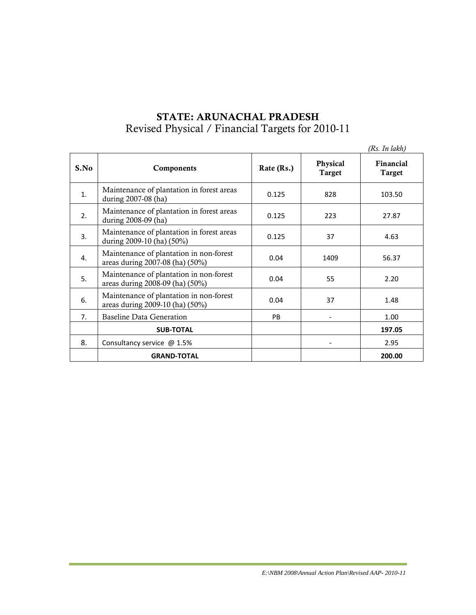# **STATE: ARUNACHAL PRADESH** Revised Physical / Financial Targets for 2010-11

|      |                                                                            |            |                           | (Rs. In lakh)       |
|------|----------------------------------------------------------------------------|------------|---------------------------|---------------------|
| S.No | Components                                                                 | Rate (Rs.) | Physical<br><b>Target</b> | Financial<br>Target |
| 1.   | Maintenance of plantation in forest areas<br>during 2007-08 (ha)           | 0.125      | 828                       | 103.50              |
| 2.   | Maintenance of plantation in forest areas<br>during 2008-09 (ha)           | 0.125      | 223                       | 27.87               |
| 3.   | Maintenance of plantation in forest areas<br>during 2009-10 (ha) (50%)     | 0.125      | 37                        | 4.63                |
| 4.   | Maintenance of plantation in non-forest<br>areas during 2007-08 (ha) (50%) | 0.04       | 1409                      | 56.37               |
| 5.   | Maintenance of plantation in non-forest<br>areas during 2008-09 (ha) (50%) | 0.04       | 55                        | 2.20                |
| 6.   | Maintenance of plantation in non-forest<br>areas during 2009-10 (ha) (50%) | 0.04       | 37                        | 1.48                |
| 7.   | <b>Baseline Data Generation</b>                                            | <b>PB</b>  |                           | 1.00                |
|      | <b>SUB-TOTAL</b>                                                           |            |                           | 197.05              |
| 8.   | Consultancy service @ 1.5%                                                 |            |                           | 2.95                |
|      | <b>GRAND-TOTAL</b>                                                         |            |                           | 200.00              |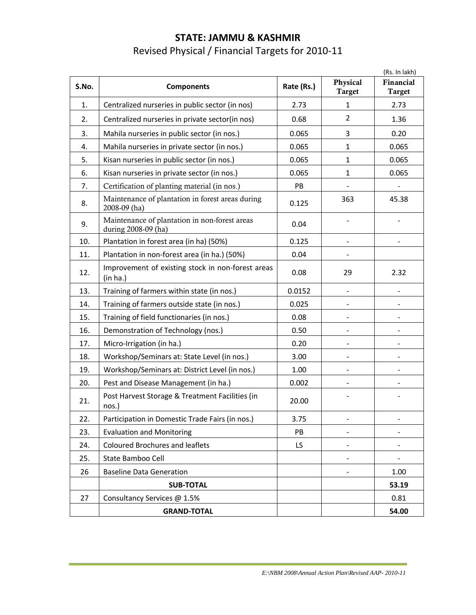# **STATE: JAMMU & KASHMIR**  Revised Physical / Financial Targets for 2010-11

|       |                                                                      |            |                           | (Rs. In lakh)              |
|-------|----------------------------------------------------------------------|------------|---------------------------|----------------------------|
| S.No. | <b>Components</b>                                                    | Rate (Rs.) | Physical<br><b>Target</b> | Financial<br><b>Target</b> |
| 1.    | Centralized nurseries in public sector (in nos)                      | 2.73       | $\mathbf{1}$              | 2.73                       |
| 2.    | Centralized nurseries in private sector(in nos)                      | 0.68       | $\overline{2}$            | 1.36                       |
| 3.    | Mahila nurseries in public sector (in nos.)                          | 0.065      | 3                         | 0.20                       |
| 4.    | Mahila nurseries in private sector (in nos.)                         | 0.065      | $\mathbf{1}$              | 0.065                      |
| 5.    | Kisan nurseries in public sector (in nos.)                           | 0.065      | $\mathbf{1}$              | 0.065                      |
| 6.    | Kisan nurseries in private sector (in nos.)                          | 0.065      | $\mathbf{1}$              | 0.065                      |
| 7.    | Certification of planting material (in nos.)                         | PB         |                           |                            |
| 8.    | Maintenance of plantation in forest areas during<br>2008-09 (ha)     | 0.125      | 363                       | 45.38                      |
| 9.    | Maintenance of plantation in non-forest areas<br>during 2008-09 (ha) | 0.04       |                           |                            |
| 10.   | Plantation in forest area (in ha) (50%)                              | 0.125      |                           |                            |
| 11.   | Plantation in non-forest area (in ha.) (50%)                         | 0.04       |                           |                            |
| 12.   | Improvement of existing stock in non-forest areas<br>(in ha.)        | 0.08       | 29                        | 2.32                       |
| 13.   | Training of farmers within state (in nos.)                           | 0.0152     | $\overline{a}$            |                            |
| 14.   | Training of farmers outside state (in nos.)                          | 0.025      |                           |                            |
| 15.   | Training of field functionaries (in nos.)                            | 0.08       |                           |                            |
| 16.   | Demonstration of Technology (nos.)                                   | 0.50       | $\overline{\phantom{0}}$  |                            |
| 17.   | Micro-Irrigation (in ha.)                                            | 0.20       |                           |                            |
| 18.   | Workshop/Seminars at: State Level (in nos.)                          | 3.00       |                           |                            |
| 19.   | Workshop/Seminars at: District Level (in nos.)                       | 1.00       |                           |                            |
| 20.   | Pest and Disease Management (in ha.)                                 | 0.002      |                           |                            |
| 21.   | Post Harvest Storage & Treatment Facilities (in<br>nos.)             | 20.00      |                           |                            |
| 22.   | Participation in Domestic Trade Fairs (in nos.)                      | 3.75       | $\overline{\phantom{0}}$  | ۰                          |
| 23.   | <b>Evaluation and Monitoring</b>                                     | PB         |                           |                            |
| 24.   | <b>Coloured Brochures and leaflets</b>                               | LS         |                           |                            |
| 25.   | State Bamboo Cell                                                    |            |                           |                            |
| 26    | <b>Baseline Data Generation</b>                                      |            |                           | 1.00                       |
|       | <b>SUB-TOTAL</b>                                                     |            |                           | 53.19                      |
| 27    | Consultancy Services @ 1.5%                                          |            |                           | 0.81                       |
|       | <b>GRAND-TOTAL</b>                                                   |            |                           | 54.00                      |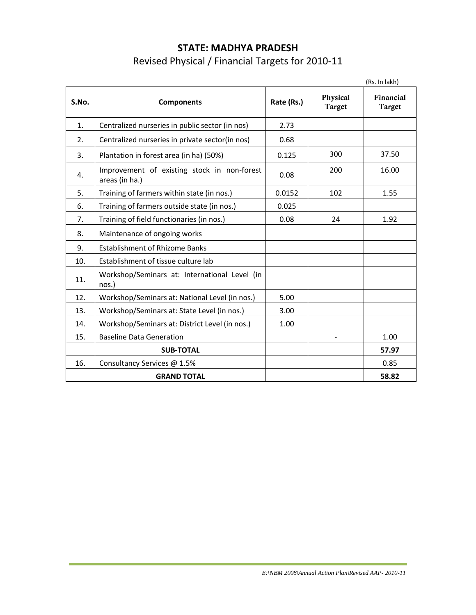# **STATE: MADHYA PRADESH** Revised Physical / Financial Targets for 2010-11

|       |                                                               |            |                           | (Rs. In lakh)              |
|-------|---------------------------------------------------------------|------------|---------------------------|----------------------------|
| S.No. | <b>Components</b>                                             | Rate (Rs.) | Physical<br><b>Target</b> | Financial<br><b>Target</b> |
| 1.    | Centralized nurseries in public sector (in nos)               | 2.73       |                           |                            |
| 2.    | Centralized nurseries in private sector(in nos)               | 0.68       |                           |                            |
| 3.    | Plantation in forest area (in ha) (50%)                       | 0.125      | 300                       | 37.50                      |
| 4.    | Improvement of existing stock in non-forest<br>areas (in ha.) | 0.08       | 200                       | 16.00                      |
| 5.    | Training of farmers within state (in nos.)                    | 0.0152     | 102                       | 1.55                       |
| 6.    | Training of farmers outside state (in nos.)                   | 0.025      |                           |                            |
| 7.    | Training of field functionaries (in nos.)                     | 0.08       | 24                        | 1.92                       |
| 8.    | Maintenance of ongoing works                                  |            |                           |                            |
| 9.    | <b>Establishment of Rhizome Banks</b>                         |            |                           |                            |
| 10.   | Establishment of tissue culture lab                           |            |                           |                            |
| 11.   | Workshop/Seminars at: International Level (in<br>nos.)        |            |                           |                            |
| 12.   | Workshop/Seminars at: National Level (in nos.)                | 5.00       |                           |                            |
| 13.   | Workshop/Seminars at: State Level (in nos.)                   | 3.00       |                           |                            |
| 14.   | Workshop/Seminars at: District Level (in nos.)                | 1.00       |                           |                            |
| 15.   | <b>Baseline Data Generation</b>                               |            |                           | 1.00                       |
|       | <b>SUB-TOTAL</b>                                              |            |                           | 57.97                      |
| 16.   | Consultancy Services @ 1.5%                                   |            |                           | 0.85                       |
|       | <b>GRAND TOTAL</b>                                            |            |                           | 58.82                      |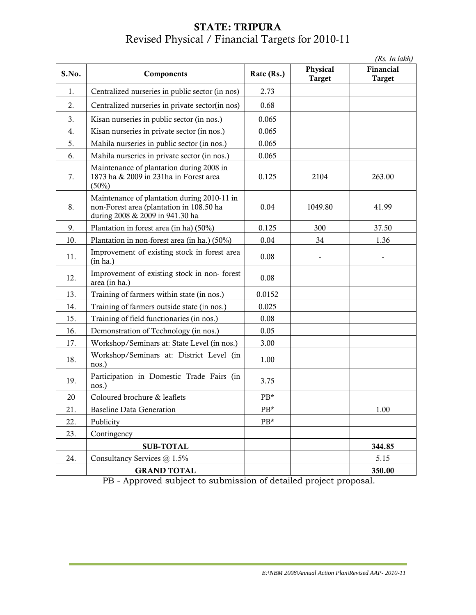# **STATE: TRIPURA** Revised Physical / Financial Targets for 2010-11

|       |                                                                                                                            |            |                           | (Rs. In lakh)              |
|-------|----------------------------------------------------------------------------------------------------------------------------|------------|---------------------------|----------------------------|
| S.No. | Components                                                                                                                 | Rate (Rs.) | Physical<br><b>Target</b> | Financial<br><b>Target</b> |
| 1.    | Centralized nurseries in public sector (in nos)                                                                            | 2.73       |                           |                            |
| 2.    | Centralized nurseries in private sector(in nos)                                                                            | 0.68       |                           |                            |
| 3.    | Kisan nurseries in public sector (in nos.)                                                                                 | 0.065      |                           |                            |
| 4.    | Kisan nurseries in private sector (in nos.)                                                                                | 0.065      |                           |                            |
| 5.    | Mahila nurseries in public sector (in nos.)                                                                                | 0.065      |                           |                            |
| 6.    | Mahila nurseries in private sector (in nos.)                                                                               | 0.065      |                           |                            |
| 7.    | Maintenance of plantation during 2008 in<br>1873 ha & 2009 in 231 ha in Forest area<br>(50%)                               | 0.125      | 2104                      | 263.00                     |
| 8.    | Maintenance of plantation during 2010-11 in<br>non-Forest area (plantation in 108.50 ha<br>during 2008 & 2009 in 941.30 ha | 0.04       | 1049.80                   | 41.99                      |
| 9.    | Plantation in forest area (in ha) (50%)                                                                                    | 0.125      | 300                       | 37.50                      |
| 10.   | Plantation in non-forest area (in ha.) (50%)                                                                               | 0.04       | 34                        | 1.36                       |
| 11.   | Improvement of existing stock in forest area<br>(in ha.)                                                                   | 0.08       |                           |                            |
| 12.   | Improvement of existing stock in non-forest<br>area (in ha.)                                                               | 0.08       |                           |                            |
| 13.   | Training of farmers within state (in nos.)                                                                                 | 0.0152     |                           |                            |
| 14.   | Training of farmers outside state (in nos.)                                                                                | 0.025      |                           |                            |
| 15.   | Training of field functionaries (in nos.)                                                                                  | 0.08       |                           |                            |
| 16.   | Demonstration of Technology (in nos.)                                                                                      | 0.05       |                           |                            |
| 17.   | Workshop/Seminars at: State Level (in nos.)                                                                                | 3.00       |                           |                            |
| 18.   | Workshop/Seminars at: District Level (in<br>nos.)                                                                          | 1.00       |                           |                            |
| 19.   | Participation in Domestic Trade Fairs (in<br>nos.)                                                                         | 3.75       |                           |                            |
| 20    | Coloured brochure & leaflets                                                                                               | $PB*$      |                           |                            |
| 21.   | <b>Baseline Data Generation</b>                                                                                            | PB*        |                           | 1.00                       |
| 22.   | Publicity                                                                                                                  | PB*        |                           |                            |
| 23.   | Contingency                                                                                                                |            |                           |                            |
|       | <b>SUB-TOTAL</b>                                                                                                           |            |                           | 344.85                     |
| 24.   | Consultancy Services @ 1.5%                                                                                                |            |                           | 5.15                       |
|       | <b>GRAND TOTAL</b>                                                                                                         |            |                           | 350.00                     |

PB - Approved subject to submission of detailed project proposal.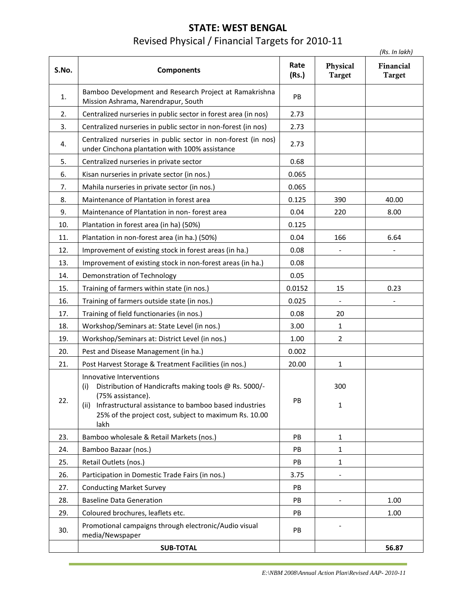# **STATE: WEST BENGAL** Revised Physical / Financial Targets for 2010-11

|       |                                                                                                                                                                                                                                              |               |                           | (Rs. In lakh)              |
|-------|----------------------------------------------------------------------------------------------------------------------------------------------------------------------------------------------------------------------------------------------|---------------|---------------------------|----------------------------|
| S.No. | <b>Components</b>                                                                                                                                                                                                                            | Rate<br>(Rs.) | Physical<br><b>Target</b> | Financial<br><b>Target</b> |
| 1.    | Bamboo Development and Research Project at Ramakrishna<br>Mission Ashrama, Narendrapur, South                                                                                                                                                | PB            |                           |                            |
| 2.    | Centralized nurseries in public sector in forest area (in nos)                                                                                                                                                                               | 2.73          |                           |                            |
| 3.    | Centralized nurseries in public sector in non-forest (in nos)                                                                                                                                                                                | 2.73          |                           |                            |
| 4.    | Centralized nurseries in public sector in non-forest (in nos)<br>under Cinchona plantation with 100% assistance                                                                                                                              | 2.73          |                           |                            |
| 5.    | Centralized nurseries in private sector                                                                                                                                                                                                      | 0.68          |                           |                            |
| 6.    | Kisan nurseries in private sector (in nos.)                                                                                                                                                                                                  | 0.065         |                           |                            |
| 7.    | Mahila nurseries in private sector (in nos.)                                                                                                                                                                                                 | 0.065         |                           |                            |
| 8.    | Maintenance of Plantation in forest area                                                                                                                                                                                                     | 0.125         | 390                       | 40.00                      |
| 9.    | Maintenance of Plantation in non-forest area                                                                                                                                                                                                 | 0.04          | 220                       | 8.00                       |
| 10.   | Plantation in forest area (in ha) (50%)                                                                                                                                                                                                      | 0.125         |                           |                            |
| 11.   | Plantation in non-forest area (in ha.) (50%)                                                                                                                                                                                                 | 0.04          | 166                       | 6.64                       |
| 12.   | Improvement of existing stock in forest areas (in ha.)                                                                                                                                                                                       | 0.08          |                           |                            |
| 13.   | Improvement of existing stock in non-forest areas (in ha.)                                                                                                                                                                                   | 0.08          |                           |                            |
| 14.   | Demonstration of Technology                                                                                                                                                                                                                  | 0.05          |                           |                            |
| 15.   | Training of farmers within state (in nos.)                                                                                                                                                                                                   | 0.0152        | 15                        | 0.23                       |
| 16.   | Training of farmers outside state (in nos.)                                                                                                                                                                                                  | 0.025         |                           |                            |
| 17.   | Training of field functionaries (in nos.)                                                                                                                                                                                                    | 0.08          | 20                        |                            |
| 18.   | Workshop/Seminars at: State Level (in nos.)                                                                                                                                                                                                  | 3.00          | 1                         |                            |
| 19.   | Workshop/Seminars at: District Level (in nos.)                                                                                                                                                                                               | 1.00          | $\overline{2}$            |                            |
| 20.   | Pest and Disease Management (in ha.)                                                                                                                                                                                                         | 0.002         |                           |                            |
| 21.   | Post Harvest Storage & Treatment Facilities (in nos.)                                                                                                                                                                                        | 20.00         | 1                         |                            |
| 22.   | Innovative Interventions<br>Distribution of Handicrafts making tools @ Rs. 5000/-<br>(i)<br>(75% assistance).<br>(ii) Infrastructural assistance to bamboo based industries<br>25% of the project cost, subject to maximum Rs. 10.00<br>lakh | PB            | 300<br>1                  |                            |
| 23.   | Bamboo wholesale & Retail Markets (nos.)                                                                                                                                                                                                     | PB            | $\mathbf{1}$              |                            |
| 24.   | Bamboo Bazaar (nos.)                                                                                                                                                                                                                         | PB            | 1                         |                            |
| 25.   | Retail Outlets (nos.)                                                                                                                                                                                                                        | PB            | 1                         |                            |
| 26.   | Participation in Domestic Trade Fairs (in nos.)                                                                                                                                                                                              | 3.75          |                           |                            |
| 27.   | <b>Conducting Market Survey</b>                                                                                                                                                                                                              | PB            |                           |                            |
| 28.   | <b>Baseline Data Generation</b>                                                                                                                                                                                                              | PB            |                           | 1.00                       |
| 29.   | Coloured brochures, leaflets etc.                                                                                                                                                                                                            | PB            |                           | 1.00                       |
| 30.   | Promotional campaigns through electronic/Audio visual<br>media/Newspaper                                                                                                                                                                     | PB            |                           |                            |
|       | <b>SUB-TOTAL</b>                                                                                                                                                                                                                             |               |                           | 56.87                      |

*E:\NBM 2008\Annual Action Plan\Revised AAP- 2010-11*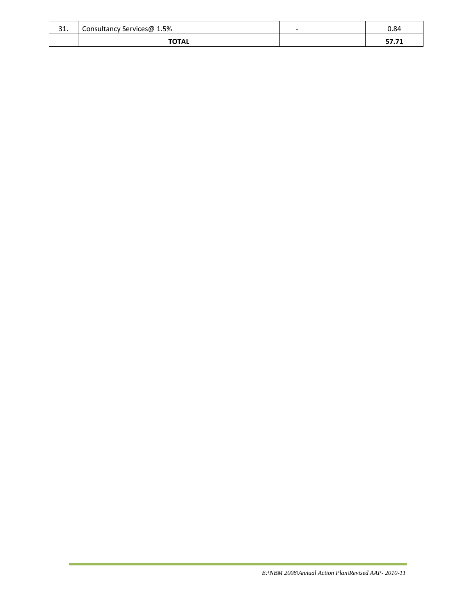| $\mathbf{A}$<br>JT. | Consultancy Services@ 1.5% | $\overline{\phantom{0}}$ | 0.84          |
|---------------------|----------------------------|--------------------------|---------------|
|                     | <b>TOTAL</b>               |                          | -771<br>J7.71 |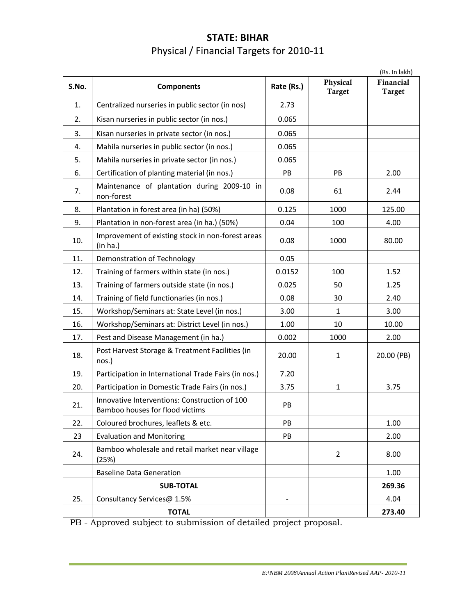# **STATE: BIHAR** Physical / Financial Targets for 2010-11

|       |                                                                                  |            |                           | (Rs. In lakh)              |
|-------|----------------------------------------------------------------------------------|------------|---------------------------|----------------------------|
| S.No. | <b>Components</b>                                                                | Rate (Rs.) | Physical<br><b>Target</b> | Financial<br><b>Target</b> |
| 1.    | Centralized nurseries in public sector (in nos)                                  | 2.73       |                           |                            |
| 2.    | Kisan nurseries in public sector (in nos.)                                       | 0.065      |                           |                            |
| 3.    | Kisan nurseries in private sector (in nos.)                                      | 0.065      |                           |                            |
| 4.    | Mahila nurseries in public sector (in nos.)                                      | 0.065      |                           |                            |
| 5.    | Mahila nurseries in private sector (in nos.)                                     | 0.065      |                           |                            |
| 6.    | Certification of planting material (in nos.)                                     | PB         | PB                        | 2.00                       |
| 7.    | Maintenance of plantation during 2009-10 in<br>non-forest                        | 0.08       | 61                        | 2.44                       |
| 8.    | Plantation in forest area (in ha) (50%)                                          | 0.125      | 1000                      | 125.00                     |
| 9.    | Plantation in non-forest area (in ha.) (50%)                                     | 0.04       | 100                       | 4.00                       |
| 10.   | Improvement of existing stock in non-forest areas<br>(in ha.)                    | 0.08       | 1000                      | 80.00                      |
| 11.   | Demonstration of Technology                                                      | 0.05       |                           |                            |
| 12.   | Training of farmers within state (in nos.)                                       | 0.0152     | 100                       | 1.52                       |
| 13.   | Training of farmers outside state (in nos.)                                      | 0.025      | 50                        | 1.25                       |
| 14.   | Training of field functionaries (in nos.)                                        | 0.08       | 30                        | 2.40                       |
| 15.   | Workshop/Seminars at: State Level (in nos.)                                      | 3.00       | $\mathbf{1}$              | 3.00                       |
| 16.   | Workshop/Seminars at: District Level (in nos.)                                   | 1.00       | 10                        | 10.00                      |
| 17.   | Pest and Disease Management (in ha.)                                             | 0.002      | 1000                      | 2.00                       |
| 18.   | Post Harvest Storage & Treatment Facilities (in<br>nos.)                         | 20.00      | $\mathbf{1}$              | 20.00 (PB)                 |
| 19.   | Participation in International Trade Fairs (in nos.)                             | 7.20       |                           |                            |
| 20.   | Participation in Domestic Trade Fairs (in nos.)                                  | 3.75       | $\mathbf{1}$              | 3.75                       |
| 21.   | Innovative Interventions: Construction of 100<br>Bamboo houses for flood victims | PB         |                           |                            |
| 22.   | Coloured brochures, leaflets & etc.                                              | PB         |                           | 1.00                       |
| 23    | <b>Evaluation and Monitoring</b>                                                 | PB         |                           | 2.00                       |
| 24.   | Bamboo wholesale and retail market near village<br>(25%)                         |            | $\overline{2}$            | 8.00                       |
|       | <b>Baseline Data Generation</b>                                                  |            |                           | 1.00                       |
|       | <b>SUB-TOTAL</b>                                                                 |            |                           | 269.36                     |
| 25.   | Consultancy Services@ 1.5%                                                       |            |                           | 4.04                       |
|       | <b>TOTAL</b>                                                                     |            |                           | 273.40                     |
|       |                                                                                  |            |                           |                            |

PB - Approved subject to submission of detailed project proposal.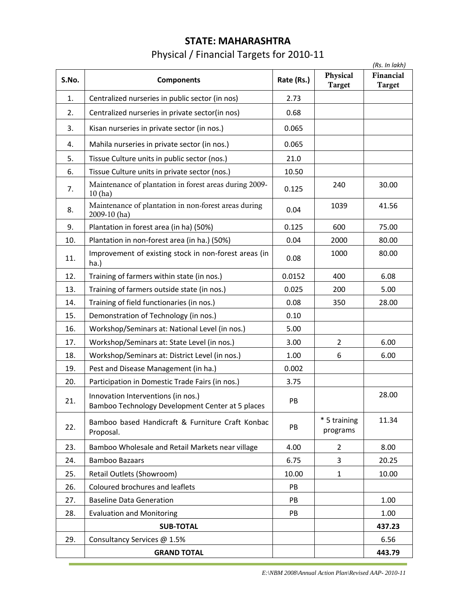# **STATE: MAHARASHTRA** Physical / Financial Targets for 2010-11

|       |                                                                                        |            |                           | (Rs. In lakh)              |
|-------|----------------------------------------------------------------------------------------|------------|---------------------------|----------------------------|
| S.No. | <b>Components</b>                                                                      | Rate (Rs.) | Physical<br><b>Target</b> | Financial<br><b>Target</b> |
| 1.    | Centralized nurseries in public sector (in nos)                                        | 2.73       |                           |                            |
| 2.    | Centralized nurseries in private sector(in nos)                                        | 0.68       |                           |                            |
| 3.    | Kisan nurseries in private sector (in nos.)                                            | 0.065      |                           |                            |
| 4.    | Mahila nurseries in private sector (in nos.)                                           | 0.065      |                           |                            |
| 5.    | Tissue Culture units in public sector (nos.)                                           | 21.0       |                           |                            |
| 6.    | Tissue Culture units in private sector (nos.)                                          | 10.50      |                           |                            |
| 7.    | Maintenance of plantation in forest areas during 2009-<br>10(ha)                       | 0.125      | 240                       | 30.00                      |
| 8.    | Maintenance of plantation in non-forest areas during<br>2009-10 (ha)                   | 0.04       | 1039                      | 41.56                      |
| 9.    | Plantation in forest area (in ha) (50%)                                                | 0.125      | 600                       | 75.00                      |
| 10.   | Plantation in non-forest area (in ha.) (50%)                                           | 0.04       | 2000                      | 80.00                      |
| 11.   | Improvement of existing stock in non-forest areas (in<br>ha.)                          | 0.08       | 1000                      | 80.00                      |
| 12.   | Training of farmers within state (in nos.)                                             | 0.0152     | 400                       | 6.08                       |
| 13.   | Training of farmers outside state (in nos.)                                            | 0.025      | 200                       | 5.00                       |
| 14.   | Training of field functionaries (in nos.)                                              | 0.08       | 350                       | 28.00                      |
| 15.   | Demonstration of Technology (in nos.)                                                  | 0.10       |                           |                            |
| 16.   | Workshop/Seminars at: National Level (in nos.)                                         | 5.00       |                           |                            |
| 17.   | Workshop/Seminars at: State Level (in nos.)                                            | 3.00       | $\overline{2}$            | 6.00                       |
| 18.   | Workshop/Seminars at: District Level (in nos.)                                         | 1.00       | 6                         | 6.00                       |
| 19.   | Pest and Disease Management (in ha.)                                                   | 0.002      |                           |                            |
| 20.   | Participation in Domestic Trade Fairs (in nos.)                                        | 3.75       |                           |                            |
| 21.   | Innovation Interventions (in nos.)<br>Bamboo Technology Development Center at 5 places | PB         |                           | 28.00                      |
| 22.   | Bamboo based Handicraft & Furniture Craft Konbac<br>Proposal.                          | PB         | * 5 training<br>programs  | 11.34                      |
| 23.   | Bamboo Wholesale and Retail Markets near village                                       | 4.00       | 2                         | 8.00                       |
| 24.   | <b>Bamboo Bazaars</b>                                                                  | 6.75       | 3                         | 20.25                      |
| 25.   | Retail Outlets (Showroom)                                                              | 10.00      | 1                         | 10.00                      |
| 26.   | Coloured brochures and leaflets                                                        | PB         |                           |                            |
| 27.   | <b>Baseline Data Generation</b>                                                        | PB         |                           | 1.00                       |
| 28.   | <b>Evaluation and Monitoring</b>                                                       | PB         |                           | 1.00                       |
|       | <b>SUB-TOTAL</b>                                                                       |            |                           | 437.23                     |
| 29.   | Consultancy Services @ 1.5%                                                            |            |                           | 6.56                       |
|       | <b>GRAND TOTAL</b>                                                                     |            |                           | 443.79                     |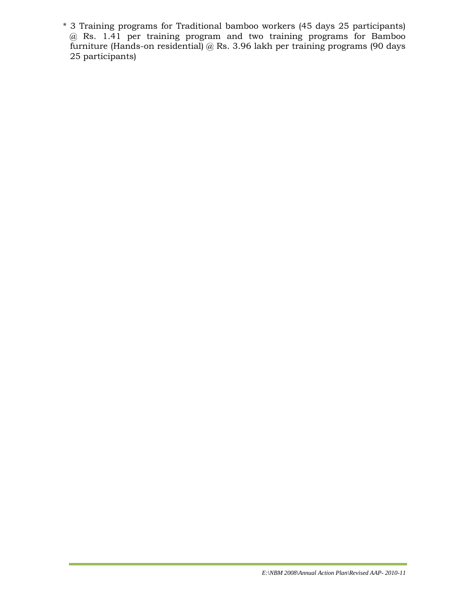\* 3 Training programs for Traditional bamboo workers (45 days 25 participants) @ Rs. 1.41 per training program and two training programs for Bamboo furniture (Hands-on residential) @ Rs. 3.96 lakh per training programs (90 days 25 participants)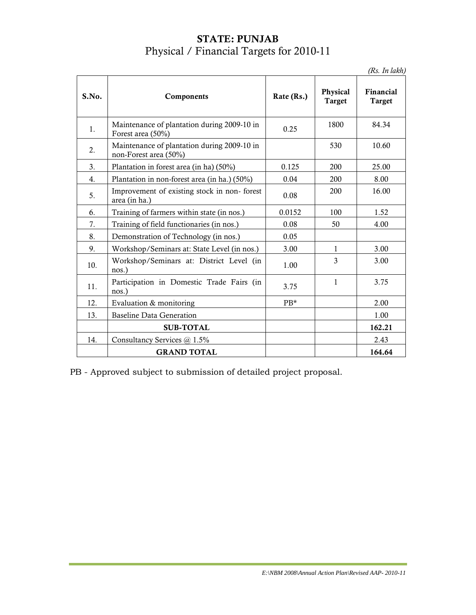### **STATE: PUNJAB** Physical / Financial Targets for 2010-11

*(Rs. In lakh)*

| S.No. | Components                                                           | Rate (Rs.) | Physical<br><b>Target</b> | Financial<br>Target |
|-------|----------------------------------------------------------------------|------------|---------------------------|---------------------|
| 1.    | Maintenance of plantation during 2009-10 in<br>Forest area (50%)     | 0.25       | 1800                      | 84.34               |
| 2.    | Maintenance of plantation during 2009-10 in<br>non-Forest area (50%) |            | 530                       | 10.60               |
| 3.    | Plantation in forest area (in ha) (50%)                              | 0.125      | 200                       | 25.00               |
| 4.    | Plantation in non-forest area (in ha.) (50%)                         | 0.04       | 200                       | 8.00                |
| 5.    | Improvement of existing stock in non-forest<br>area (in ha.)         | 0.08       | 200                       | 16.00               |
| 6.    | Training of farmers within state (in nos.)                           | 0.0152     | 100                       | 1.52                |
| 7.    | Training of field functionaries (in nos.)                            | 0.08       | 50                        | 4.00                |
| 8.    | Demonstration of Technology (in nos.)                                | 0.05       |                           |                     |
| 9.    | Workshop/Seminars at: State Level (in nos.)                          | 3.00       | 1                         | 3.00                |
| 10.   | Workshop/Seminars at: District Level (in<br>nos.)                    | 1.00       | 3                         | 3.00                |
| 11.   | Participation in Domestic Trade Fairs (in<br>nos.)                   | 3.75       | $\mathbf{1}$              | 3.75                |
| 12.   | Evaluation & monitoring                                              | $PB*$      |                           | 2.00                |
| 13.   | <b>Baseline Data Generation</b>                                      |            |                           | 1.00                |
|       | <b>SUB-TOTAL</b>                                                     |            |                           | 162.21              |
| 14.   | Consultancy Services @ 1.5%                                          |            |                           | 2.43                |
|       | <b>GRAND TOTAL</b>                                                   |            |                           | 164.64              |

PB - Approved subject to submission of detailed project proposal.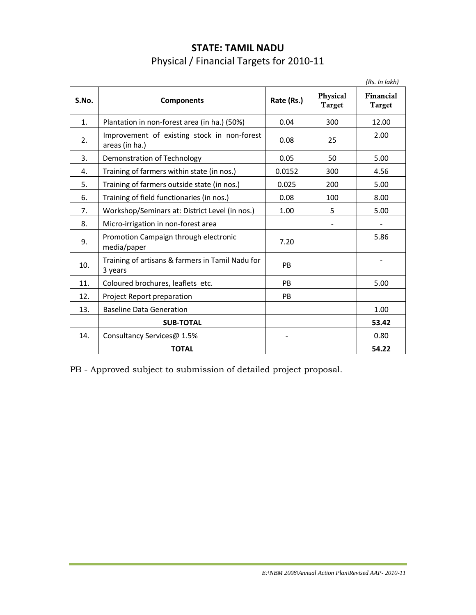| <b>STATE: TAMIL NADU</b>                 |
|------------------------------------------|
| Physical / Financial Targets for 2010-11 |

|       |                                                               |            |                           | (Rs. In lakh)              |
|-------|---------------------------------------------------------------|------------|---------------------------|----------------------------|
| S.No. | <b>Components</b>                                             | Rate (Rs.) | Physical<br><b>Target</b> | Financial<br><b>Target</b> |
| 1.    | Plantation in non-forest area (in ha.) (50%)                  | 0.04       | 300                       | 12.00                      |
| 2.    | Improvement of existing stock in non-forest<br>areas (in ha.) | 0.08       | 25                        | 2.00                       |
| 3.    | Demonstration of Technology                                   | 0.05       | 50                        | 5.00                       |
| 4.    | Training of farmers within state (in nos.)                    | 0.0152     | 300                       | 4.56                       |
| 5.    | Training of farmers outside state (in nos.)                   | 0.025      | 200                       | 5.00                       |
| 6.    | Training of field functionaries (in nos.)                     | 0.08       | 100                       | 8.00                       |
| 7.    | Workshop/Seminars at: District Level (in nos.)                | 1.00       | 5                         | 5.00                       |
| 8.    | Micro-irrigation in non-forest area                           |            |                           |                            |
| 9.    | Promotion Campaign through electronic<br>media/paper          | 7.20       |                           | 5.86                       |
| 10.   | Training of artisans & farmers in Tamil Nadu for<br>3 years   | <b>PB</b>  |                           |                            |
| 11.   | Coloured brochures, leaflets etc.                             | <b>PB</b>  |                           | 5.00                       |
| 12.   | Project Report preparation                                    | <b>PB</b>  |                           |                            |
| 13.   | <b>Baseline Data Generation</b>                               |            |                           | 1.00                       |
|       | <b>SUB-TOTAL</b>                                              |            |                           | 53.42                      |
| 14.   | Consultancy Services@ 1.5%                                    |            |                           | 0.80                       |
|       | <b>TOTAL</b>                                                  |            |                           | 54.22                      |

PB - Approved subject to submission of detailed project proposal.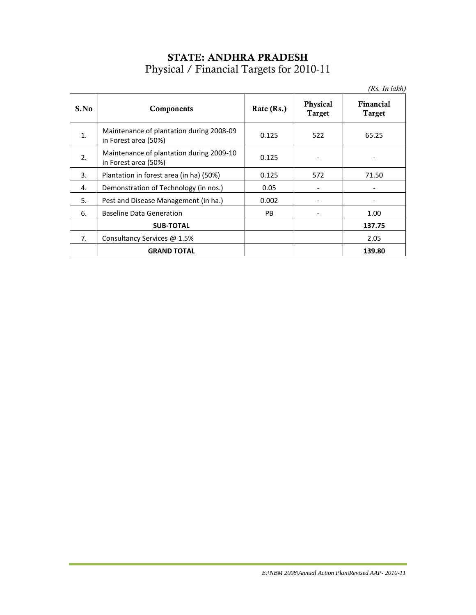# **STATE: ANDHRA PRADESH** Physical / Financial Targets for 2010-11

|      |                                                                  |            |                           | (Rs. In lakh)              |
|------|------------------------------------------------------------------|------------|---------------------------|----------------------------|
| S.No | Components                                                       | Rate (Rs.) | Physical<br><b>Target</b> | Financial<br><b>Target</b> |
| 1.   | Maintenance of plantation during 2008-09<br>in Forest area (50%) | 0.125      | 522                       | 65.25                      |
| 2.   | Maintenance of plantation during 2009-10<br>in Forest area (50%) | 0.125      |                           |                            |
| 3.   | Plantation in forest area (in ha) (50%)                          | 0.125      | 572                       | 71.50                      |
| 4.   | Demonstration of Technology (in nos.)                            | 0.05       |                           |                            |
| 5.   | Pest and Disease Management (in ha.)                             | 0.002      |                           |                            |
| 6.   | <b>Baseline Data Generation</b>                                  | <b>PB</b>  |                           | 1.00                       |
|      | <b>SUB-TOTAL</b>                                                 |            |                           | 137.75                     |
| 7.   | Consultancy Services @ 1.5%                                      |            |                           | 2.05                       |
|      | <b>GRAND TOTAL</b>                                               |            |                           | 139.80                     |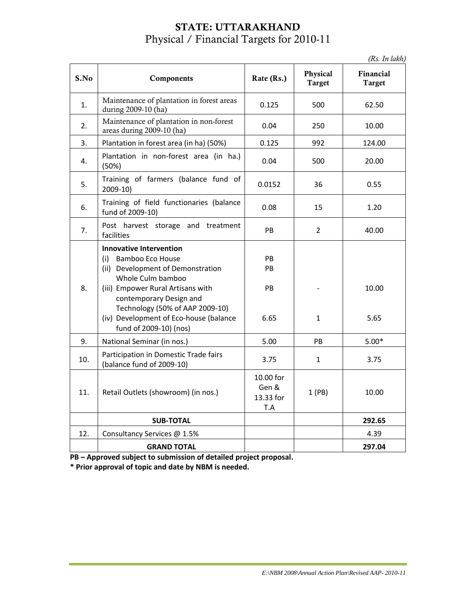### **STATE: UTTARAKHAND** Physical / Financial Targets for 2010-11

*(Rs. In lakh)*

|      |                                                                                                                                                                                                                                                                                                   |                                        |                           | (KS. 111 turn)             |  |      |
|------|---------------------------------------------------------------------------------------------------------------------------------------------------------------------------------------------------------------------------------------------------------------------------------------------------|----------------------------------------|---------------------------|----------------------------|--|------|
| S.No | Components                                                                                                                                                                                                                                                                                        | Rate (Rs.)                             | Physical<br><b>Target</b> | Financial<br><b>Target</b> |  |      |
| 1.   | Maintenance of plantation in forest areas<br>during 2009-10 (ha)                                                                                                                                                                                                                                  | 0.125                                  | 500                       | 62.50                      |  |      |
| 2.   | Maintenance of plantation in non-forest<br>areas during 2009-10 (ha)                                                                                                                                                                                                                              | 0.04                                   | 250                       | 10.00                      |  |      |
| 3.   | Plantation in forest area (in ha) (50%)                                                                                                                                                                                                                                                           | 0.125                                  | 992                       | 124.00                     |  |      |
| 4.   | Plantation in non-forest area (in ha.)<br>(50%)                                                                                                                                                                                                                                                   | 0.04                                   | 500                       | 20.00                      |  |      |
| 5.   | Training of farmers (balance fund of<br>$2009-10$                                                                                                                                                                                                                                                 | 0.0152                                 | 36                        | 0.55                       |  |      |
| 6.   | Training of field functionaries (balance<br>fund of 2009-10)                                                                                                                                                                                                                                      | 0.08                                   | 15                        | 1.20                       |  |      |
| 7.   | Post harvest storage and treatment<br>facilities                                                                                                                                                                                                                                                  | PB                                     | $\overline{2}$            | 40.00                      |  |      |
| 8.   | <b>Innovative Intervention</b><br><b>Bamboo Eco House</b><br>(i)<br>(ii) Development of Demonstration<br>Whole Culm bamboo<br>(iii) Empower Rural Artisans with<br>contemporary Design and<br>Technology (50% of AAP 2009-10)<br>(iv) Development of Eco-house (balance<br>fund of 2009-10) (nos) | PB.<br>PB<br>PB<br>6.65                | $\mathbf{1}$              | 10.00<br>5.65              |  |      |
| 9.   | National Seminar (in nos.)                                                                                                                                                                                                                                                                        | 5.00                                   | PB                        | $5.00*$                    |  |      |
| 10.  | Participation in Domestic Trade fairs<br>(balance fund of 2009-10)                                                                                                                                                                                                                                | 3.75                                   | $\mathbf{1}$              |                            |  | 3.75 |
| 11.  | Retail Outlets (showroom) (in nos.)                                                                                                                                                                                                                                                               | 10.00 for<br>Gen &<br>13.33 for<br>T.A | 1(PB)                     | 10.00                      |  |      |
|      | <b>SUB-TOTAL</b>                                                                                                                                                                                                                                                                                  |                                        |                           | 292.65                     |  |      |
| 12.  | Consultancy Services @ 1.5%                                                                                                                                                                                                                                                                       |                                        |                           | 4.39                       |  |      |
|      | <b>GRAND TOTAL</b>                                                                                                                                                                                                                                                                                |                                        |                           | 297.04                     |  |      |

**PB – Approved subject to submission of detailed project proposal.**

**\* Prior approval of topic and date by NBM is needed.**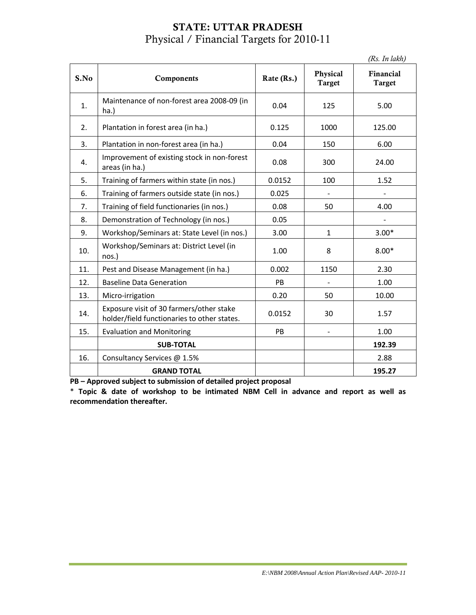### **STATE: UTTAR PRADESH** Physical / Financial Targets for 2010-11

|      |                                                                                         |            |                           | (Rs. In lakh)              |
|------|-----------------------------------------------------------------------------------------|------------|---------------------------|----------------------------|
| S.No | Components                                                                              | Rate (Rs.) | Physical<br><b>Target</b> | Financial<br><b>Target</b> |
| 1.   | Maintenance of non-forest area 2008-09 (in<br>ha.)                                      | 0.04       | 125                       | 5.00                       |
| 2.   | Plantation in forest area (in ha.)                                                      | 0.125      | 1000                      | 125.00                     |
| 3.   | Plantation in non-forest area (in ha.)                                                  | 0.04       | 150                       | 6.00                       |
| 4.   | Improvement of existing stock in non-forest<br>areas (in ha.)                           | 0.08       | 300                       | 24.00                      |
| 5.   | Training of farmers within state (in nos.)                                              | 0.0152     | 100                       | 1.52                       |
| 6.   | Training of farmers outside state (in nos.)                                             | 0.025      |                           |                            |
| 7.   | Training of field functionaries (in nos.)                                               | 0.08       | 50                        | 4.00                       |
| 8.   | Demonstration of Technology (in nos.)                                                   | 0.05       |                           |                            |
| 9.   | Workshop/Seminars at: State Level (in nos.)                                             | 3.00       | $\mathbf{1}$              | $3.00*$                    |
| 10.  | Workshop/Seminars at: District Level (in<br>nos.)                                       | 1.00       | 8                         | $8.00*$                    |
| 11.  | Pest and Disease Management (in ha.)                                                    | 0.002      | 1150                      | 2.30                       |
| 12.  | <b>Baseline Data Generation</b>                                                         | <b>PB</b>  |                           | 1.00                       |
| 13.  | Micro-irrigation                                                                        | 0.20       | 50                        | 10.00                      |
| 14.  | Exposure visit of 30 farmers/other stake<br>holder/field functionaries to other states. | 0.0152     | 30                        | 1.57                       |
| 15.  | <b>Evaluation and Monitoring</b>                                                        | PB         |                           | 1.00                       |
|      | <b>SUB-TOTAL</b>                                                                        |            |                           | 192.39                     |
| 16.  | Consultancy Services @ 1.5%                                                             |            |                           | 2.88                       |
|      | <b>GRAND TOTAL</b>                                                                      |            |                           | 195.27                     |

**PB – Approved subject to submission of detailed project proposal**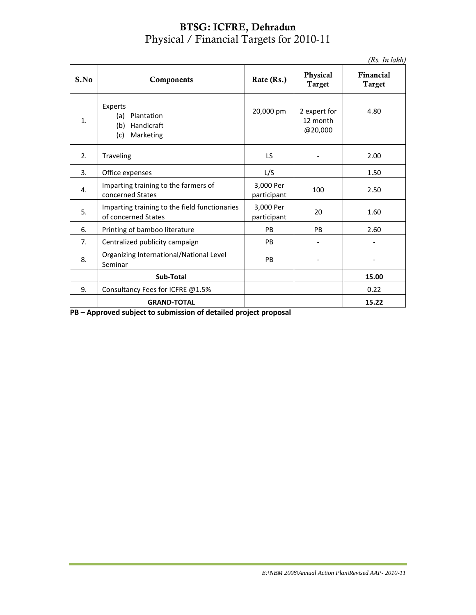#### **BTSG: ICFRE, Dehradun** Physical / Financial Targets for 2010-11

*(Rs. In lakh)*

| S.No | Components                                                            | Rate (Rs.)                                       | Physical<br><b>Target</b> | Financial<br><b>Target</b> |
|------|-----------------------------------------------------------------------|--------------------------------------------------|---------------------------|----------------------------|
| 1.   | Experts<br>(a)<br>Plantation<br>Handicraft<br>(b)<br>Marketing<br>(c) | 20,000 pm<br>2 expert for<br>12 month<br>@20,000 |                           | 4.80                       |
| 2.   | Traveling                                                             | LS                                               |                           | 2.00                       |
| 3.   | Office expenses                                                       | L/S                                              |                           | 1.50                       |
| 4.   | Imparting training to the farmers of<br>concerned States              | 3,000 Per<br>participant                         | 100                       | 2.50                       |
| 5.   | Imparting training to the field functionaries<br>of concerned States  | 3,000 Per<br>20<br>participant                   |                           | 1.60                       |
| 6.   | Printing of bamboo literature                                         | <b>PB</b>                                        | P <sub>B</sub>            | 2.60                       |
| 7.   | Centralized publicity campaign                                        | PB                                               |                           |                            |
| 8.   | Organizing International/National Level<br>Seminar                    | PB                                               |                           |                            |
|      | Sub-Total                                                             |                                                  |                           | 15.00                      |
| 9.   | Consultancy Fees for ICFRE @1.5%                                      |                                                  |                           | 0.22                       |
|      | <b>GRAND-TOTAL</b>                                                    |                                                  |                           | 15.22                      |

**PB – Approved subject to submission of detailed project proposal**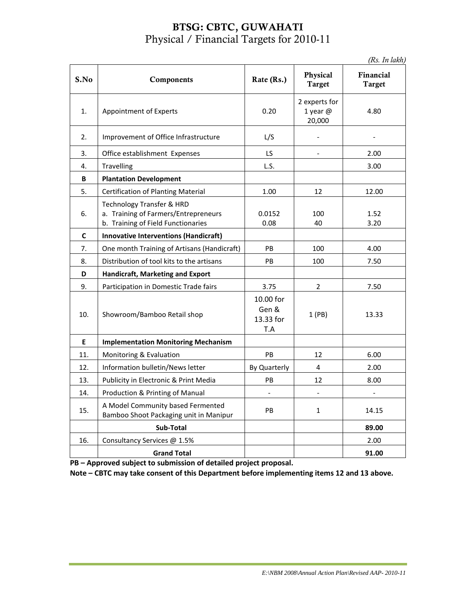### **BTSG: CBTC, GUWAHATI** Physical / Financial Targets for 2010-11

*(Rs. In lakh)*

| S.No | Components                                                                                              | Rate (Rs.)                             | Physical<br><b>Target</b>           | Financial<br><b>Target</b> |  |
|------|---------------------------------------------------------------------------------------------------------|----------------------------------------|-------------------------------------|----------------------------|--|
| 1.   | Appointment of Experts                                                                                  | 0.20                                   | 2 experts for<br>1 year @<br>20,000 | 4.80                       |  |
| 2.   | Improvement of Office Infrastructure                                                                    | L/S                                    |                                     |                            |  |
| 3.   | Office establishment Expenses                                                                           | LS                                     | $\overline{a}$                      | 2.00                       |  |
| 4.   | <b>Travelling</b>                                                                                       | L.S.                                   |                                     | 3.00                       |  |
| B    | <b>Plantation Development</b>                                                                           |                                        |                                     |                            |  |
| 5.   | <b>Certification of Planting Material</b>                                                               | 1.00                                   | 12                                  | 12.00                      |  |
| 6.   | Technology Transfer & HRD<br>a. Training of Farmers/Entrepreneurs<br>b. Training of Field Functionaries | 0.0152<br>0.08                         | 100<br>40                           | 1.52<br>3.20               |  |
| C    | <b>Innovative Interventions (Handicraft)</b>                                                            |                                        |                                     |                            |  |
| 7.   | One month Training of Artisans (Handicraft)                                                             | PB<br>100                              |                                     | 4.00                       |  |
| 8.   | Distribution of tool kits to the artisans                                                               | PB<br>100                              |                                     | 7.50                       |  |
| D    | Handicraft, Marketing and Export                                                                        |                                        |                                     |                            |  |
| 9.   | Participation in Domestic Trade fairs                                                                   | 3.75                                   | $\overline{2}$                      | 7.50                       |  |
| 10.  | Showroom/Bamboo Retail shop                                                                             | 10.00 for<br>Gen &<br>13.33 for<br>T.A | 1(PB)                               | 13.33                      |  |
| E    | <b>Implementation Monitoring Mechanism</b>                                                              |                                        |                                     |                            |  |
| 11.  | Monitoring & Evaluation                                                                                 | PB                                     | 12                                  | 6.00                       |  |
| 12.  | Information bulletin/News letter                                                                        | By Quarterly                           | 4                                   | 2.00                       |  |
| 13.  | Publicity in Electronic & Print Media                                                                   | PB                                     | 12                                  | 8.00                       |  |
| 14.  | Production & Printing of Manual                                                                         |                                        | $\overline{\phantom{a}}$            |                            |  |
| 15.  | A Model Community based Fermented<br>Bamboo Shoot Packaging unit in Manipur                             | PB                                     | $\mathbf{1}$                        | 14.15                      |  |
|      | Sub-Total                                                                                               |                                        |                                     | 89.00                      |  |
| 16.  | Consultancy Services @ 1.5%                                                                             |                                        |                                     | 2.00                       |  |
|      | <b>Grand Total</b>                                                                                      |                                        |                                     | 91.00                      |  |

**PB – Approved subject to submission of detailed project proposal.**

**Note – CBTC may take consent of this Department before implementing items 12 and 13 above.**